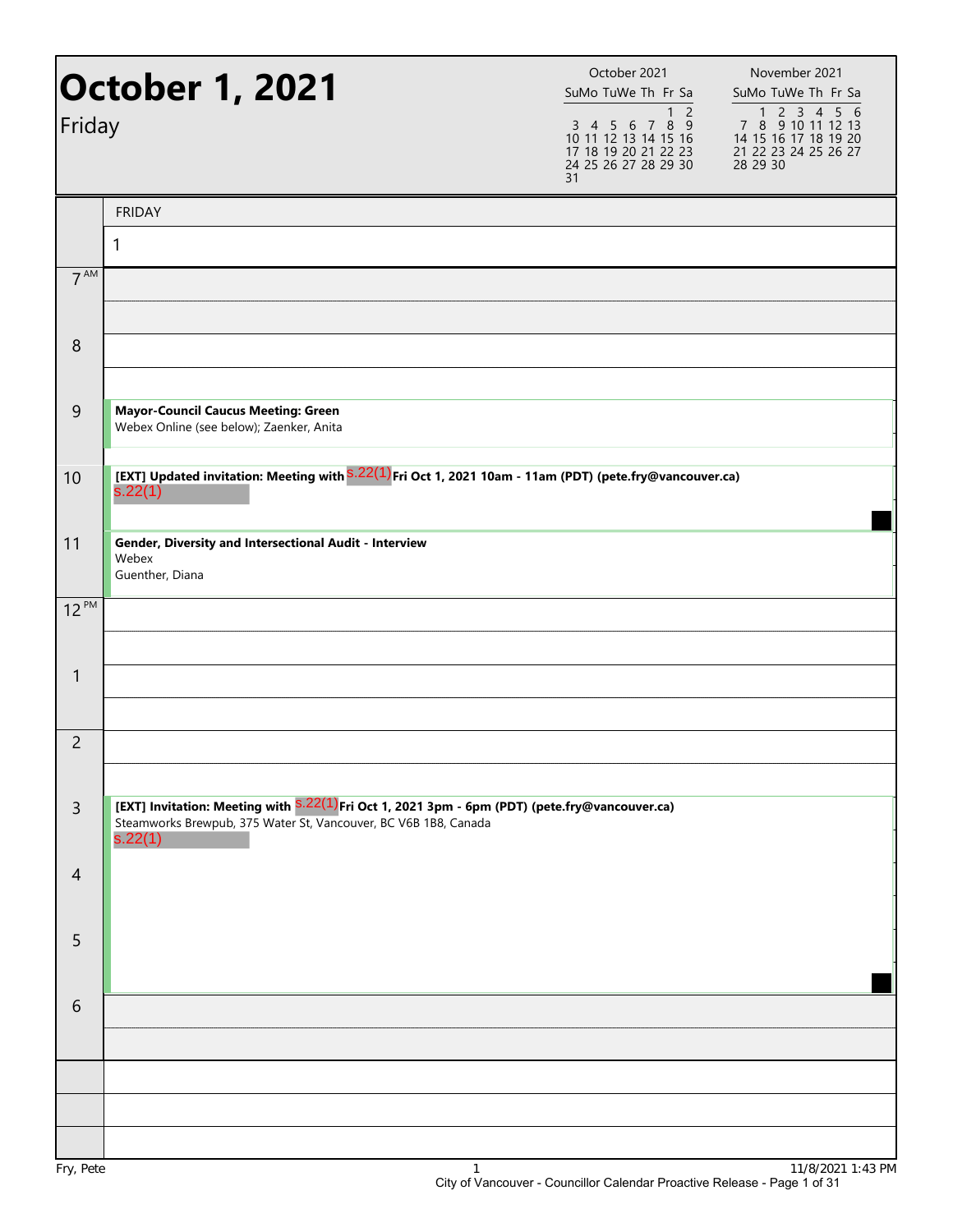| Friday          | <b>October 1, 2021</b>                                                                                                                                                                  | October 2021<br>SuMo TuWe Th Fr Sa<br>1 <sub>2</sub><br>3 4 5 6 7 8 9<br>10 11 12 13 14 15 16<br>17 18 19 20 21 22 23<br>24 25 26 27 28 29 30<br>31 | November 2021<br>SuMo TuWe Th Fr Sa<br>7 8 9 10 11 12 13<br>14 15 16 17 18 19 20<br>21 22 23 24 25 26 27<br>28 29 30 |
|-----------------|-----------------------------------------------------------------------------------------------------------------------------------------------------------------------------------------|-----------------------------------------------------------------------------------------------------------------------------------------------------|----------------------------------------------------------------------------------------------------------------------|
|                 | <b>FRIDAY</b>                                                                                                                                                                           |                                                                                                                                                     |                                                                                                                      |
|                 | 1                                                                                                                                                                                       |                                                                                                                                                     |                                                                                                                      |
| 7 <sup>AM</sup> |                                                                                                                                                                                         |                                                                                                                                                     |                                                                                                                      |
| 8               |                                                                                                                                                                                         |                                                                                                                                                     |                                                                                                                      |
| 9               | <b>Mayor-Council Caucus Meeting: Green</b><br>Webex Online (see below); Zaenker, Anita                                                                                                  |                                                                                                                                                     |                                                                                                                      |
| 10              | [EXT] Updated invitation: Meeting with S.22(1) Fri Oct 1, 2021 10am - 11am (PDT) (pete.fry@vancouver.ca)<br>s.22(1)                                                                     |                                                                                                                                                     |                                                                                                                      |
| 11              | Gender, Diversity and Intersectional Audit - Interview<br>Webex<br>Guenther, Diana                                                                                                      |                                                                                                                                                     |                                                                                                                      |
| $12^{PM}$       |                                                                                                                                                                                         |                                                                                                                                                     |                                                                                                                      |
| $\mathbf{1}$    |                                                                                                                                                                                         |                                                                                                                                                     |                                                                                                                      |
| $\overline{c}$  |                                                                                                                                                                                         |                                                                                                                                                     |                                                                                                                      |
| $\mathsf{3}$    | [EXT] Invitation: Meeting with <sup>S.22(1)</sup> Fri Oct 1, 2021 3pm - 6pm (PDT) (pete.fry@vancouver.ca)<br>Steamworks Brewpub, 375 Water St, Vancouver, BC V6B 1B8, Canada<br>s.22(1) |                                                                                                                                                     |                                                                                                                      |
| $\overline{4}$  |                                                                                                                                                                                         |                                                                                                                                                     |                                                                                                                      |
| 5               |                                                                                                                                                                                         |                                                                                                                                                     |                                                                                                                      |
| 6               |                                                                                                                                                                                         |                                                                                                                                                     |                                                                                                                      |
|                 |                                                                                                                                                                                         |                                                                                                                                                     |                                                                                                                      |
| Fry, Pete       | $\mathbf{1}$                                                                                                                                                                            |                                                                                                                                                     | 11/8/2021 1:43 PM                                                                                                    |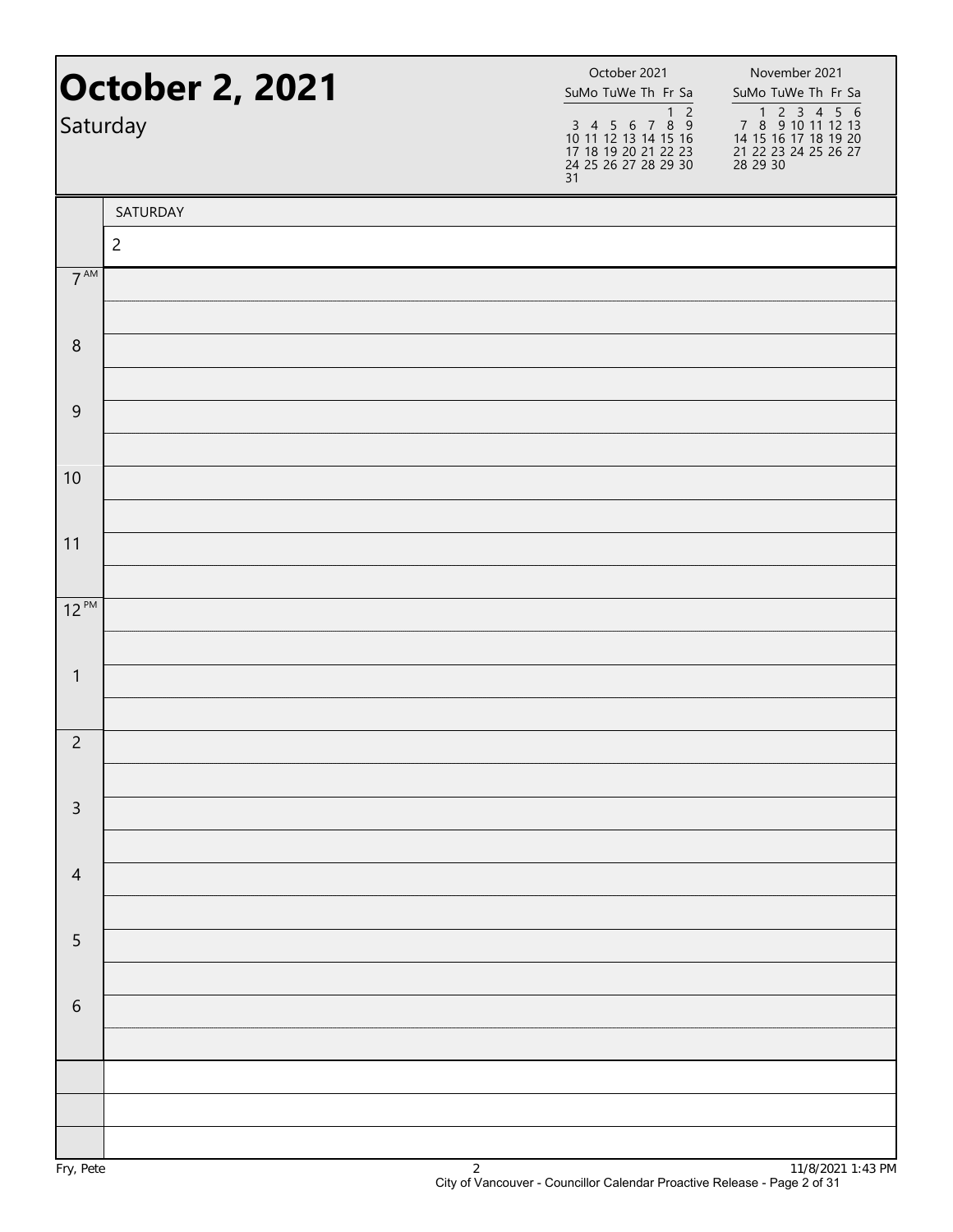|                  | <b>October 2, 2021</b><br>Saturday | October 2021<br>SuMo TuWe Th Fr Sa<br>$\overline{2}$<br>$\mathbf{1}$<br>$\begin{array}{cccccc}\n3 & 4 & 5 & 6 & 7 & 8 & 9 \\ 10 & 11 & 12 & 13 & 14 & 15 & 16\n\end{array}$<br>17 18 19 20 21 22 23<br>24 25 26 27 28 29 30<br>31 | November 2021<br>SuMo TuWe Th Fr Sa<br>1 2 3 4 5 6<br>7 8 9 10 11 12 13<br>14 15 16 17 18 19 20<br>21 22 23 24 25 26 27<br>28 29 30 |
|------------------|------------------------------------|-----------------------------------------------------------------------------------------------------------------------------------------------------------------------------------------------------------------------------------|-------------------------------------------------------------------------------------------------------------------------------------|
|                  | SATURDAY                           |                                                                                                                                                                                                                                   |                                                                                                                                     |
|                  | $\overline{2}$                     |                                                                                                                                                                                                                                   |                                                                                                                                     |
| $7^{\text{AM}}$  |                                    |                                                                                                                                                                                                                                   |                                                                                                                                     |
| $\boldsymbol{8}$ |                                    |                                                                                                                                                                                                                                   |                                                                                                                                     |
|                  |                                    |                                                                                                                                                                                                                                   |                                                                                                                                     |
| $\mathsf 9$      |                                    |                                                                                                                                                                                                                                   |                                                                                                                                     |
|                  |                                    |                                                                                                                                                                                                                                   |                                                                                                                                     |
| 10               |                                    |                                                                                                                                                                                                                                   |                                                                                                                                     |
| 11               |                                    |                                                                                                                                                                                                                                   |                                                                                                                                     |
|                  |                                    |                                                                                                                                                                                                                                   |                                                                                                                                     |
| $12^{PM}$        |                                    |                                                                                                                                                                                                                                   |                                                                                                                                     |
|                  |                                    |                                                                                                                                                                                                                                   |                                                                                                                                     |
| $\mathbf{1}$     |                                    |                                                                                                                                                                                                                                   |                                                                                                                                     |
| $\overline{2}$   |                                    |                                                                                                                                                                                                                                   |                                                                                                                                     |
|                  |                                    |                                                                                                                                                                                                                                   |                                                                                                                                     |
| $\mathsf{3}$     |                                    |                                                                                                                                                                                                                                   |                                                                                                                                     |
|                  |                                    |                                                                                                                                                                                                                                   |                                                                                                                                     |
| $\overline{4}$   |                                    |                                                                                                                                                                                                                                   |                                                                                                                                     |
| 5                |                                    |                                                                                                                                                                                                                                   |                                                                                                                                     |
|                  |                                    |                                                                                                                                                                                                                                   |                                                                                                                                     |
| $\sqrt{6}$       |                                    |                                                                                                                                                                                                                                   |                                                                                                                                     |
|                  |                                    |                                                                                                                                                                                                                                   |                                                                                                                                     |
|                  |                                    |                                                                                                                                                                                                                                   |                                                                                                                                     |
|                  |                                    |                                                                                                                                                                                                                                   |                                                                                                                                     |
|                  |                                    |                                                                                                                                                                                                                                   |                                                                                                                                     |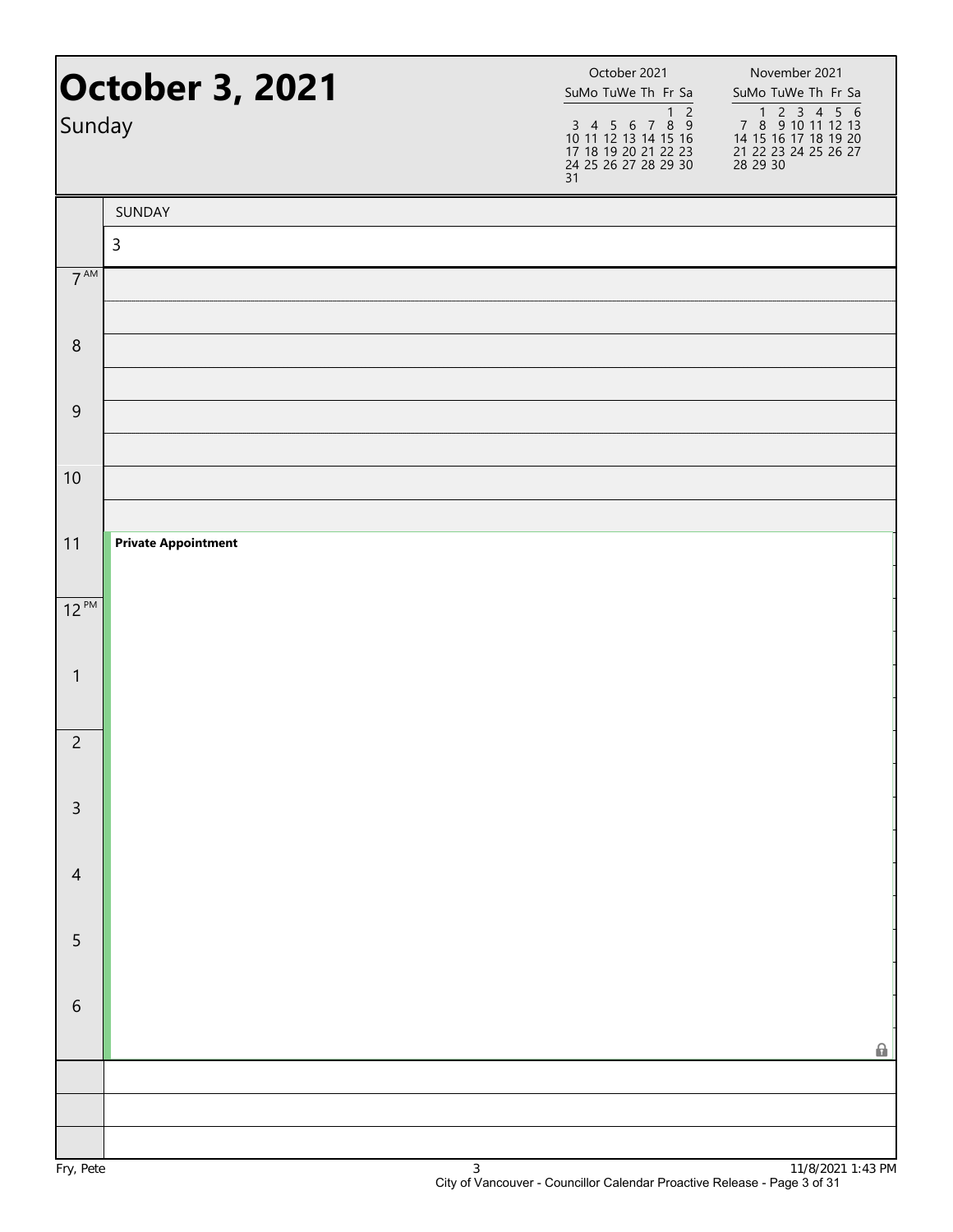| Sunday          | <b>October 3, 2021</b>     | October 2021<br>SuMo TuWe Th Fr Sa<br>1 <sub>2</sub><br>$3\ 4\ 5\ 6\ 7\ 8\ 9$<br>10 11 12 13 14 15 16<br>17 18 19 20 21 22 23<br>24 25 26 27 28 29 30<br>31 | November 2021<br>SuMo TuWe Th Fr Sa<br>1 2 3 4 5 6<br>7 8 9 10 11 12 13<br>14 15 16 17 18 19 20<br>21 22 23 24 25 26 27<br>28 29 30 |
|-----------------|----------------------------|-------------------------------------------------------------------------------------------------------------------------------------------------------------|-------------------------------------------------------------------------------------------------------------------------------------|
|                 | SUNDAY                     |                                                                                                                                                             |                                                                                                                                     |
| $7^{\text{AM}}$ | $\mathsf{3}$               |                                                                                                                                                             |                                                                                                                                     |
|                 |                            |                                                                                                                                                             |                                                                                                                                     |
| $\,8\,$         |                            |                                                                                                                                                             |                                                                                                                                     |
| $\mathsf 9$     |                            |                                                                                                                                                             |                                                                                                                                     |
| 10              |                            |                                                                                                                                                             |                                                                                                                                     |
| 11              | <b>Private Appointment</b> |                                                                                                                                                             |                                                                                                                                     |
| $12^{PM}$       |                            |                                                                                                                                                             |                                                                                                                                     |
| $\mathbf{1}$    |                            |                                                                                                                                                             |                                                                                                                                     |
| $\overline{c}$  |                            |                                                                                                                                                             |                                                                                                                                     |
| $\mathsf{3}$    |                            |                                                                                                                                                             |                                                                                                                                     |
| $\overline{4}$  |                            |                                                                                                                                                             |                                                                                                                                     |
| $\sqrt{5}$      |                            |                                                                                                                                                             |                                                                                                                                     |
| $\sqrt{6}$      |                            |                                                                                                                                                             | 0                                                                                                                                   |
|                 |                            |                                                                                                                                                             |                                                                                                                                     |
|                 |                            |                                                                                                                                                             |                                                                                                                                     |
|                 |                            |                                                                                                                                                             |                                                                                                                                     |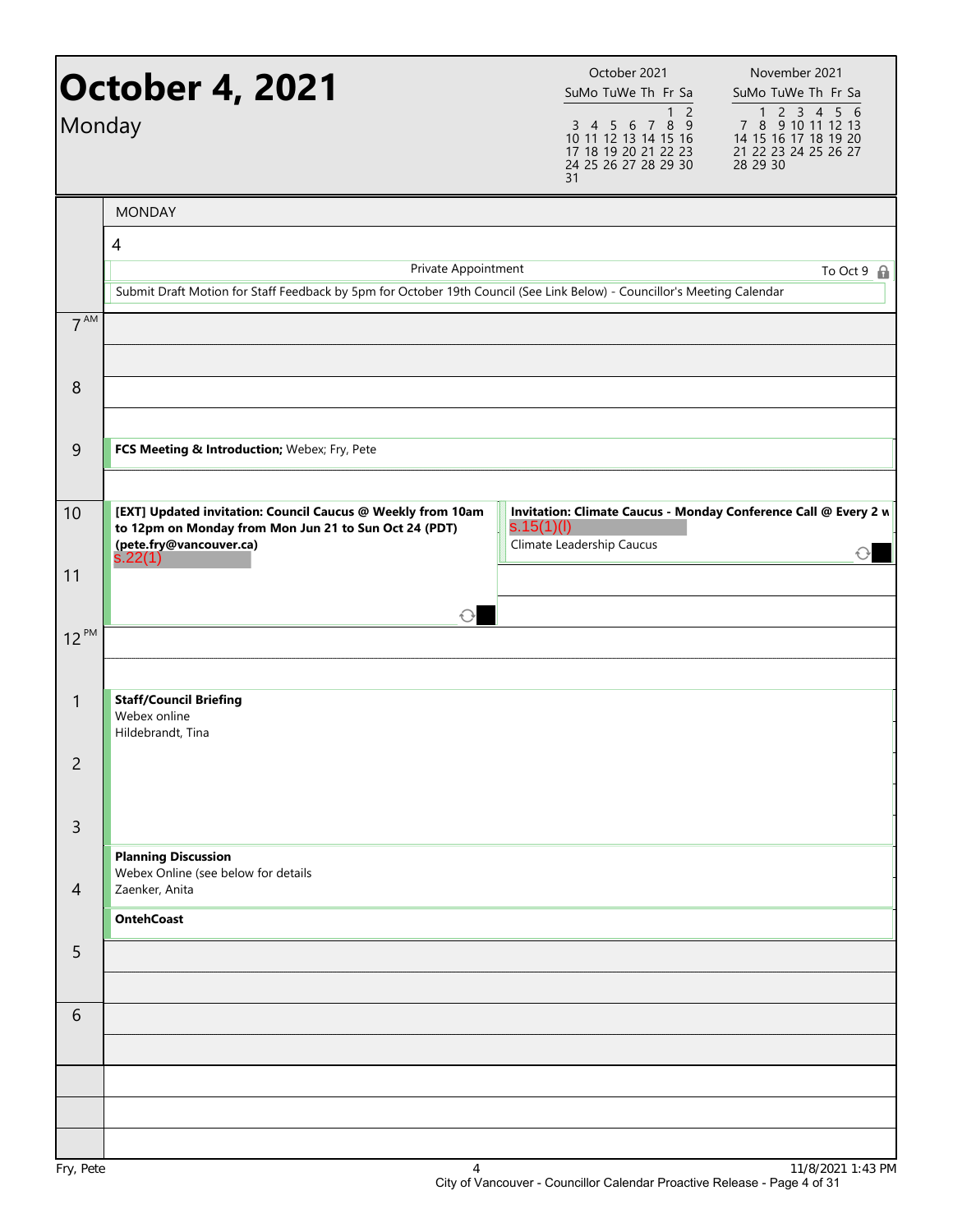| Monday         | <b>October 4, 2021</b>                                                                                                                              | October 2021<br>SuMo TuWe Th Fr Sa<br>$\overline{2}$<br>1<br>$789$<br>3 4 5 6<br>10 11 12 13 14 15 16<br>17 18 19 20 21 22 23<br>24 25 26 27 28 29 30<br>31 | November 2021<br>SuMo TuWe Th Fr Sa<br>7 8 9 10 11 12 13<br>14 15 16 17 18 19 20<br>21 22 23 24 25 26 27<br>28 29 30 |
|----------------|-----------------------------------------------------------------------------------------------------------------------------------------------------|-------------------------------------------------------------------------------------------------------------------------------------------------------------|----------------------------------------------------------------------------------------------------------------------|
|                | <b>MONDAY</b>                                                                                                                                       |                                                                                                                                                             |                                                                                                                      |
|                | 4<br>Private Appointment<br>Submit Draft Motion for Staff Feedback by 5pm for October 19th Council (See Link Below) - Councillor's Meeting Calendar |                                                                                                                                                             | To Oct $9 \oplus$                                                                                                    |
| $7^{AM}$       |                                                                                                                                                     |                                                                                                                                                             |                                                                                                                      |
| 8              |                                                                                                                                                     |                                                                                                                                                             |                                                                                                                      |
| 9              | FCS Meeting & Introduction; Webex; Fry, Pete                                                                                                        |                                                                                                                                                             |                                                                                                                      |
| 10             | [EXT] Updated invitation: Council Caucus @ Weekly from 10am<br>to 12pm on Monday from Mon Jun 21 to Sun Oct 24 (PDT)<br>(pete.fry@vancouver.ca)     | s.15(1)(l)<br>Climate Leadership Caucus                                                                                                                     | Invitation: Climate Caucus - Monday Conference Call @ Every 2 w                                                      |
| 11             | s.22(1)<br>$\bigcirc$                                                                                                                               |                                                                                                                                                             |                                                                                                                      |
| $12^{PM}$      |                                                                                                                                                     |                                                                                                                                                             |                                                                                                                      |
| 1              | <b>Staff/Council Briefing</b><br>Webex online<br>Hildebrandt, Tina                                                                                  |                                                                                                                                                             |                                                                                                                      |
| 2              |                                                                                                                                                     |                                                                                                                                                             |                                                                                                                      |
| 3              | <b>Planning Discussion</b>                                                                                                                          |                                                                                                                                                             |                                                                                                                      |
| $\overline{4}$ | Webex Online (see below for details<br>Zaenker, Anita<br><b>OntehCoast</b>                                                                          |                                                                                                                                                             |                                                                                                                      |
| 5              |                                                                                                                                                     |                                                                                                                                                             |                                                                                                                      |
| 6              |                                                                                                                                                     |                                                                                                                                                             |                                                                                                                      |
|                |                                                                                                                                                     |                                                                                                                                                             |                                                                                                                      |
|                |                                                                                                                                                     |                                                                                                                                                             |                                                                                                                      |
|                |                                                                                                                                                     |                                                                                                                                                             | 1110100011                                                                                                           |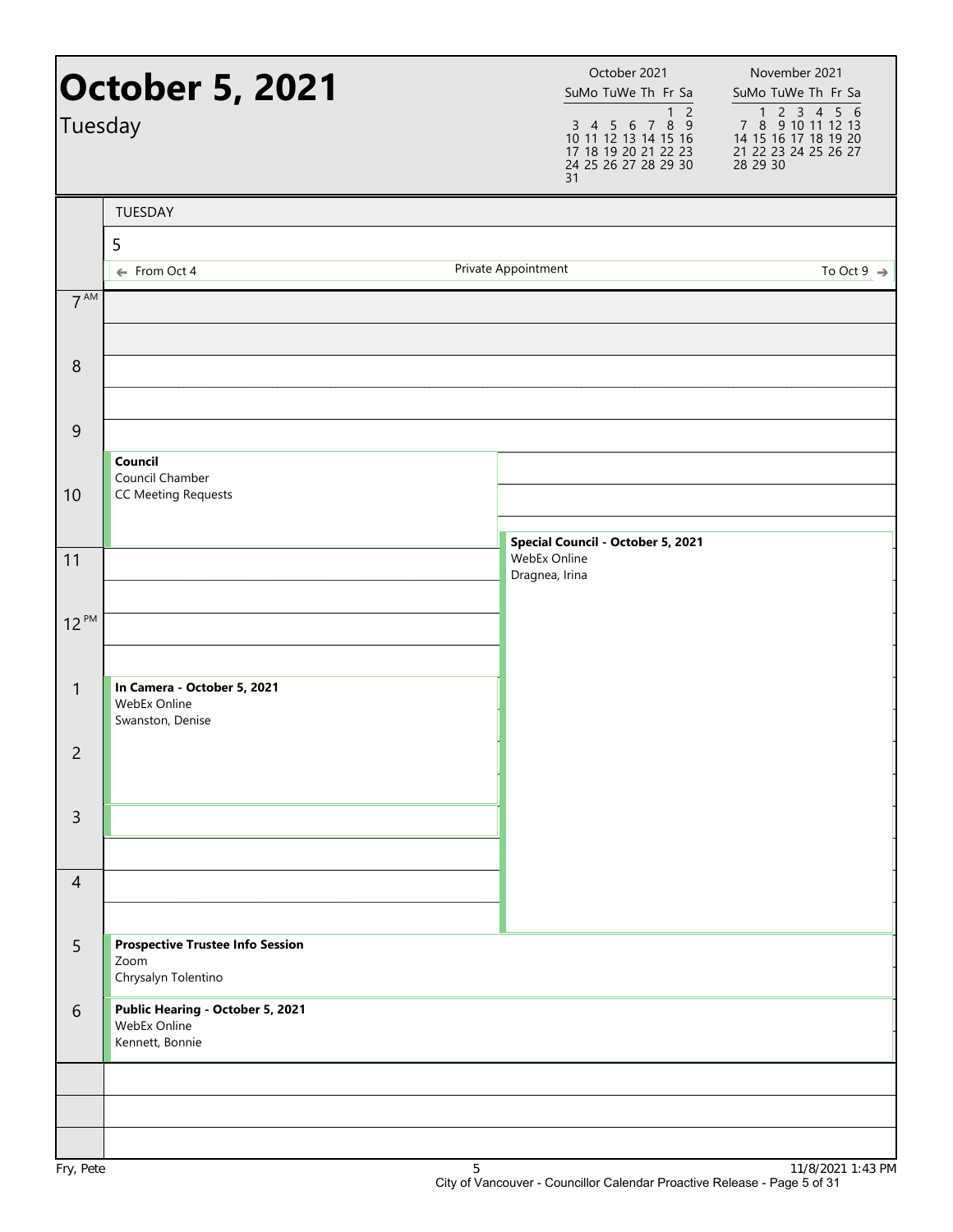| Tuesday          | <b>October 5, 2021</b>                                                 | October 2021<br>SuMo TuWe Th Fr Sa<br>1 <sub>2</sub><br>3 4 5 6 7 8 9<br>10 11 12 13 14 15 16<br>17 18 19 20 21 22 23<br>24 25 26 27 28 29 30<br>31 | November 2021<br>SuMo TuWe Th Fr Sa<br>1 2 3 4 5 6<br>7 8 9 10 11 12 13<br>14 15 16 17 18 19 20<br>21 22 23 24 25 26 27<br>28 29 30 |
|------------------|------------------------------------------------------------------------|-----------------------------------------------------------------------------------------------------------------------------------------------------|-------------------------------------------------------------------------------------------------------------------------------------|
|                  | TUESDAY                                                                |                                                                                                                                                     |                                                                                                                                     |
|                  | 5<br>← From Oct 4                                                      | Private Appointment                                                                                                                                 | To Oct 9 $\Rightarrow$                                                                                                              |
| $7^{\text{AM}}$  |                                                                        |                                                                                                                                                     |                                                                                                                                     |
|                  |                                                                        |                                                                                                                                                     |                                                                                                                                     |
| $\,8\,$          |                                                                        |                                                                                                                                                     |                                                                                                                                     |
|                  |                                                                        |                                                                                                                                                     |                                                                                                                                     |
| $\boldsymbol{9}$ |                                                                        |                                                                                                                                                     |                                                                                                                                     |
|                  | Council<br>Council Chamber                                             |                                                                                                                                                     |                                                                                                                                     |
| 10               | <b>CC Meeting Requests</b>                                             |                                                                                                                                                     |                                                                                                                                     |
|                  |                                                                        | Special Council - October 5, 2021<br>WebEx Online                                                                                                   |                                                                                                                                     |
| 11               |                                                                        | Dragnea, Irina                                                                                                                                      |                                                                                                                                     |
| $12^{PM}$        |                                                                        |                                                                                                                                                     |                                                                                                                                     |
|                  |                                                                        |                                                                                                                                                     |                                                                                                                                     |
| $\mathbf{1}$     | In Camera - October 5, 2021<br>WebEx Online                            |                                                                                                                                                     |                                                                                                                                     |
| $\overline{2}$   | Swanston, Denise                                                       |                                                                                                                                                     |                                                                                                                                     |
|                  |                                                                        |                                                                                                                                                     |                                                                                                                                     |
| $\overline{3}$   |                                                                        |                                                                                                                                                     |                                                                                                                                     |
|                  |                                                                        |                                                                                                                                                     |                                                                                                                                     |
| $\overline{4}$   |                                                                        |                                                                                                                                                     |                                                                                                                                     |
|                  |                                                                        |                                                                                                                                                     |                                                                                                                                     |
| 5                | <b>Prospective Trustee Info Session</b><br>Zoom<br>Chrysalyn Tolentino |                                                                                                                                                     |                                                                                                                                     |
| 6                | Public Hearing - October 5, 2021<br>WebEx Online<br>Kennett, Bonnie    |                                                                                                                                                     |                                                                                                                                     |
|                  |                                                                        |                                                                                                                                                     |                                                                                                                                     |
|                  |                                                                        |                                                                                                                                                     |                                                                                                                                     |
|                  |                                                                        |                                                                                                                                                     |                                                                                                                                     |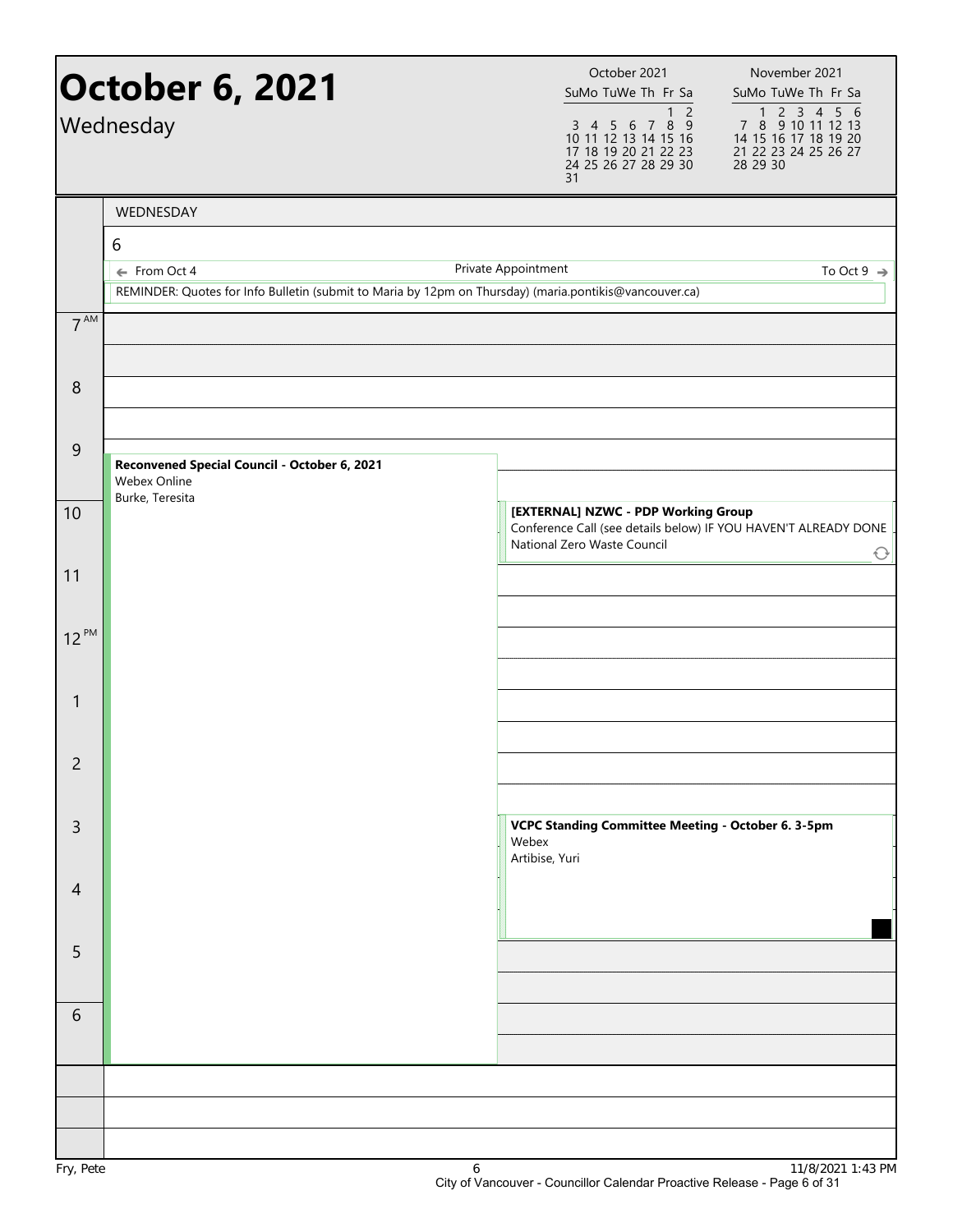|                 | <b>October 6, 2021</b><br>Wednesday                                                                                    | October 2021<br>SuMo TuWe Th Fr Sa<br>3 4 5 6 7 8 9<br>10 11 12 13 14 15 16<br>17 18 19 20 21 22 23<br>24 25 26 27 28 29 30<br>31 | November 2021<br>SuMo TuWe Th Fr Sa<br>1 <sub>2</sub><br>1 2 3 4 5 6<br>7 8 9 10 11 12 13<br>14 15 16 17 18 19 20<br>21 22 23 24 25 26 27<br>28 29 30 |
|-----------------|------------------------------------------------------------------------------------------------------------------------|-----------------------------------------------------------------------------------------------------------------------------------|-------------------------------------------------------------------------------------------------------------------------------------------------------|
|                 | WEDNESDAY                                                                                                              |                                                                                                                                   |                                                                                                                                                       |
|                 | 6                                                                                                                      |                                                                                                                                   |                                                                                                                                                       |
|                 | ← From Oct 4<br>REMINDER: Quotes for Info Bulletin (submit to Maria by 12pm on Thursday) (maria.pontikis@vancouver.ca) | Private Appointment                                                                                                               | To Oct 9 $\rightarrow$                                                                                                                                |
|                 |                                                                                                                        |                                                                                                                                   |                                                                                                                                                       |
| 7 <sup>AM</sup> |                                                                                                                        |                                                                                                                                   |                                                                                                                                                       |
|                 |                                                                                                                        |                                                                                                                                   |                                                                                                                                                       |
| 8               |                                                                                                                        |                                                                                                                                   |                                                                                                                                                       |
|                 |                                                                                                                        |                                                                                                                                   |                                                                                                                                                       |
| 9               | Reconvened Special Council - October 6, 2021                                                                           |                                                                                                                                   |                                                                                                                                                       |
|                 | Webex Online<br>Burke, Teresita                                                                                        |                                                                                                                                   |                                                                                                                                                       |
| 10              |                                                                                                                        | [EXTERNAL] NZWC - PDP Working Group                                                                                               | Conference Call (see details below) IF YOU HAVEN'T ALREADY DONE                                                                                       |
|                 |                                                                                                                        | National Zero Waste Council                                                                                                       | $\bigcirc$                                                                                                                                            |
| 11              |                                                                                                                        |                                                                                                                                   |                                                                                                                                                       |
|                 |                                                                                                                        |                                                                                                                                   |                                                                                                                                                       |
| $12^{PM}$       |                                                                                                                        |                                                                                                                                   |                                                                                                                                                       |
|                 |                                                                                                                        |                                                                                                                                   |                                                                                                                                                       |
| $\mathbf{1}$    |                                                                                                                        |                                                                                                                                   |                                                                                                                                                       |
|                 |                                                                                                                        |                                                                                                                                   |                                                                                                                                                       |
| $\overline{c}$  |                                                                                                                        |                                                                                                                                   |                                                                                                                                                       |
|                 |                                                                                                                        |                                                                                                                                   |                                                                                                                                                       |
| 3               |                                                                                                                        | Webex                                                                                                                             | VCPC Standing Committee Meeting - October 6. 3-5pm                                                                                                    |
|                 |                                                                                                                        | Artibise, Yuri                                                                                                                    |                                                                                                                                                       |
| $\overline{4}$  |                                                                                                                        |                                                                                                                                   |                                                                                                                                                       |
|                 |                                                                                                                        |                                                                                                                                   |                                                                                                                                                       |
| 5               |                                                                                                                        |                                                                                                                                   |                                                                                                                                                       |
|                 |                                                                                                                        |                                                                                                                                   |                                                                                                                                                       |
| 6               |                                                                                                                        |                                                                                                                                   |                                                                                                                                                       |
|                 |                                                                                                                        |                                                                                                                                   |                                                                                                                                                       |
|                 |                                                                                                                        |                                                                                                                                   |                                                                                                                                                       |
|                 |                                                                                                                        |                                                                                                                                   |                                                                                                                                                       |
|                 |                                                                                                                        |                                                                                                                                   |                                                                                                                                                       |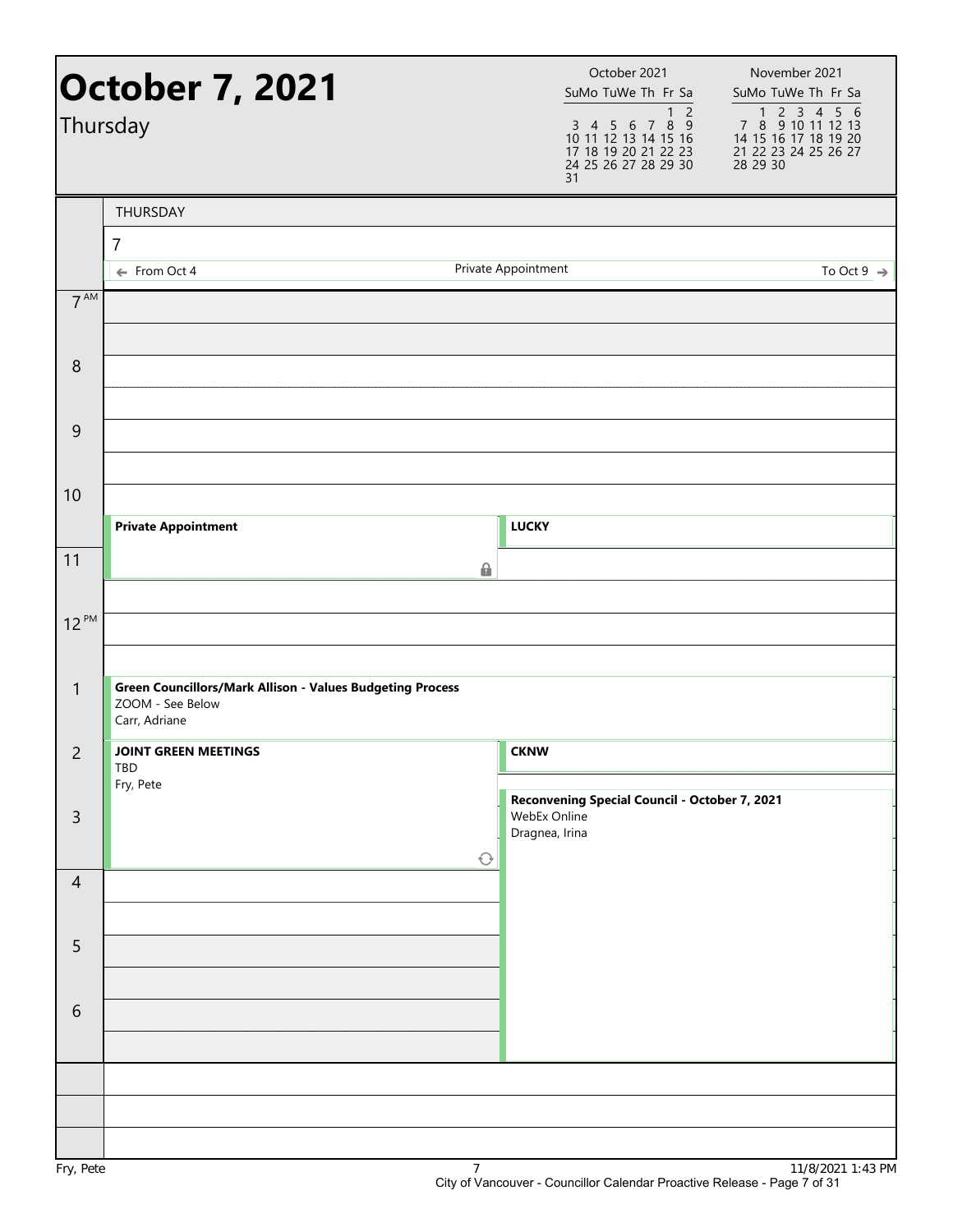|                 | October 7, 2021<br>Thursday                                                                           |                     | October 2021<br>SuMo TuWe Th Fr Sa<br>$\overline{2}$<br>$\mathbf{1}$<br>3 4 5 6 7 8 9<br>10 11 12 13 14 15 16<br>17 18 19 20 21 22 23<br>24 25 26 27 28 29 30<br>31 | November 2021<br>SuMo TuWe Th Fr Sa<br>1 2 3 4 5 6<br>7 8 9 10 11 12 13<br>14 15 16 17 18 19 20<br>21 22 23 24 25 26 27<br>28 29 30 |
|-----------------|-------------------------------------------------------------------------------------------------------|---------------------|---------------------------------------------------------------------------------------------------------------------------------------------------------------------|-------------------------------------------------------------------------------------------------------------------------------------|
|                 | THURSDAY                                                                                              |                     |                                                                                                                                                                     |                                                                                                                                     |
|                 | $\overline{7}$<br>← From Oct 4                                                                        | Private Appointment |                                                                                                                                                                     | To Oct 9 $\Rightarrow$                                                                                                              |
| $7^{\text{AM}}$ |                                                                                                       |                     |                                                                                                                                                                     |                                                                                                                                     |
| $\,8\,$         |                                                                                                       |                     |                                                                                                                                                                     |                                                                                                                                     |
| 9               |                                                                                                       |                     |                                                                                                                                                                     |                                                                                                                                     |
| 10              | <b>Private Appointment</b>                                                                            |                     | <b>LUCKY</b>                                                                                                                                                        |                                                                                                                                     |
| 11              |                                                                                                       | 6                   |                                                                                                                                                                     |                                                                                                                                     |
| $12^{PM}$       |                                                                                                       |                     |                                                                                                                                                                     |                                                                                                                                     |
| $\mathbf{1}$    | <b>Green Councillors/Mark Allison - Values Budgeting Process</b><br>ZOOM - See Below<br>Carr, Adriane |                     |                                                                                                                                                                     |                                                                                                                                     |
| $\overline{c}$  | <b>JOINT GREEN MEETINGS</b><br>TBD<br>Fry, Pete                                                       |                     | <b>CKNW</b>                                                                                                                                                         |                                                                                                                                     |
| $\mathsf{3}$    |                                                                                                       | $\bigcirc$          | Reconvening Special Council - October 7, 2021<br>WebEx Online<br>Dragnea, Irina                                                                                     |                                                                                                                                     |
| $\overline{4}$  |                                                                                                       |                     |                                                                                                                                                                     |                                                                                                                                     |
| 5               |                                                                                                       |                     |                                                                                                                                                                     |                                                                                                                                     |
| $\sqrt{6}$      |                                                                                                       |                     |                                                                                                                                                                     |                                                                                                                                     |
|                 |                                                                                                       |                     |                                                                                                                                                                     |                                                                                                                                     |
| Fry, Pete       |                                                                                                       | $\overline{7}$      |                                                                                                                                                                     | 11/8/2021 1:43 PM                                                                                                                   |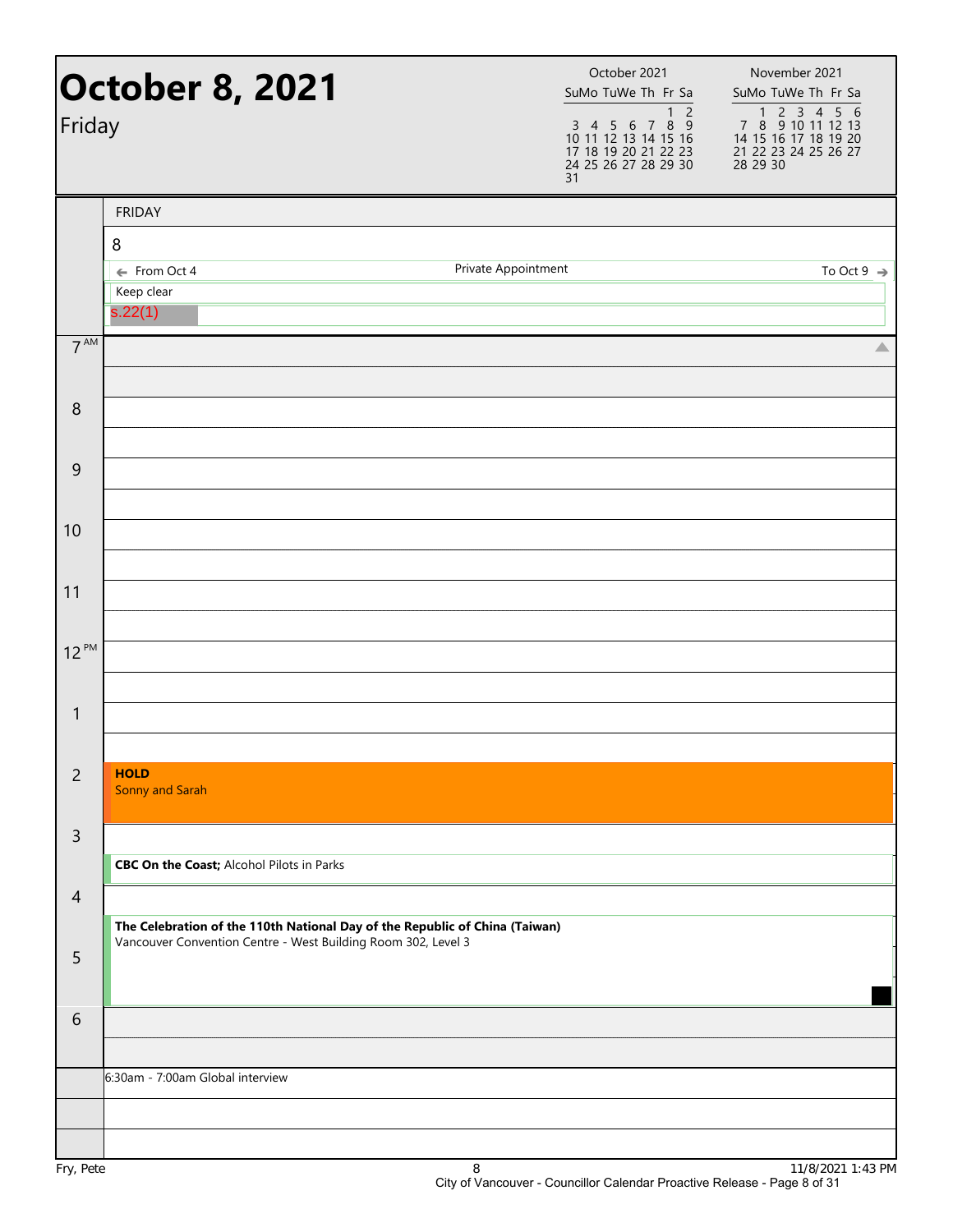| Friday          | <b>October 8, 2021</b>                                                      | 31                  | October 2021<br>SuMo TuWe Th Fr Sa<br>1 <sub>2</sub><br>3 4 5 6 7 8 9<br>10 11 12 13 14 15 16<br>17 18 19 20 21 22 23<br>24 25 26 27 28 29 30 | November 2021<br>SuMo TuWe Th Fr Sa<br>7 8 9 10 11 12 13<br>14 15 16 17 18 19 20<br>21 22 23 24 25 26 27<br>28 29 30 |
|-----------------|-----------------------------------------------------------------------------|---------------------|-----------------------------------------------------------------------------------------------------------------------------------------------|----------------------------------------------------------------------------------------------------------------------|
|                 | <b>FRIDAY</b>                                                               |                     |                                                                                                                                               |                                                                                                                      |
|                 | 8                                                                           |                     |                                                                                                                                               |                                                                                                                      |
|                 | ← From Oct 4<br>Keep clear                                                  | Private Appointment |                                                                                                                                               | To Oct 9 $\Rightarrow$                                                                                               |
|                 | s.22(1)                                                                     |                     |                                                                                                                                               |                                                                                                                      |
| 7 <sup>AM</sup> |                                                                             |                     |                                                                                                                                               | △                                                                                                                    |
| 8               |                                                                             |                     |                                                                                                                                               |                                                                                                                      |
|                 |                                                                             |                     |                                                                                                                                               |                                                                                                                      |
| 9               |                                                                             |                     |                                                                                                                                               |                                                                                                                      |
|                 |                                                                             |                     |                                                                                                                                               |                                                                                                                      |
| 10              |                                                                             |                     |                                                                                                                                               |                                                                                                                      |
|                 |                                                                             |                     |                                                                                                                                               |                                                                                                                      |
| 11              |                                                                             |                     |                                                                                                                                               |                                                                                                                      |
| $12^{PM}$       |                                                                             |                     |                                                                                                                                               |                                                                                                                      |
|                 |                                                                             |                     |                                                                                                                                               |                                                                                                                      |
| $\mathbf{1}$    |                                                                             |                     |                                                                                                                                               |                                                                                                                      |
|                 |                                                                             |                     |                                                                                                                                               |                                                                                                                      |
| $\overline{c}$  | <b>HOLD</b><br>Sonny and Sarah                                              |                     |                                                                                                                                               |                                                                                                                      |
|                 |                                                                             |                     |                                                                                                                                               |                                                                                                                      |
| $\mathsf{3}$    |                                                                             |                     |                                                                                                                                               |                                                                                                                      |
|                 | <b>CBC On the Coast; Alcohol Pilots in Parks</b>                            |                     |                                                                                                                                               |                                                                                                                      |
| $\overline{4}$  | The Celebration of the 110th National Day of the Republic of China (Taiwan) |                     |                                                                                                                                               |                                                                                                                      |
| 5               | Vancouver Convention Centre - West Building Room 302, Level 3               |                     |                                                                                                                                               |                                                                                                                      |
|                 |                                                                             |                     |                                                                                                                                               |                                                                                                                      |
| 6               |                                                                             |                     |                                                                                                                                               |                                                                                                                      |
|                 |                                                                             |                     |                                                                                                                                               |                                                                                                                      |
|                 | 6:30am - 7:00am Global interview                                            |                     |                                                                                                                                               |                                                                                                                      |
|                 |                                                                             |                     |                                                                                                                                               |                                                                                                                      |
| $Env$ $Dot$     |                                                                             | $\circ$             |                                                                                                                                               | $11/0/2021$ 1.42 DM                                                                                                  |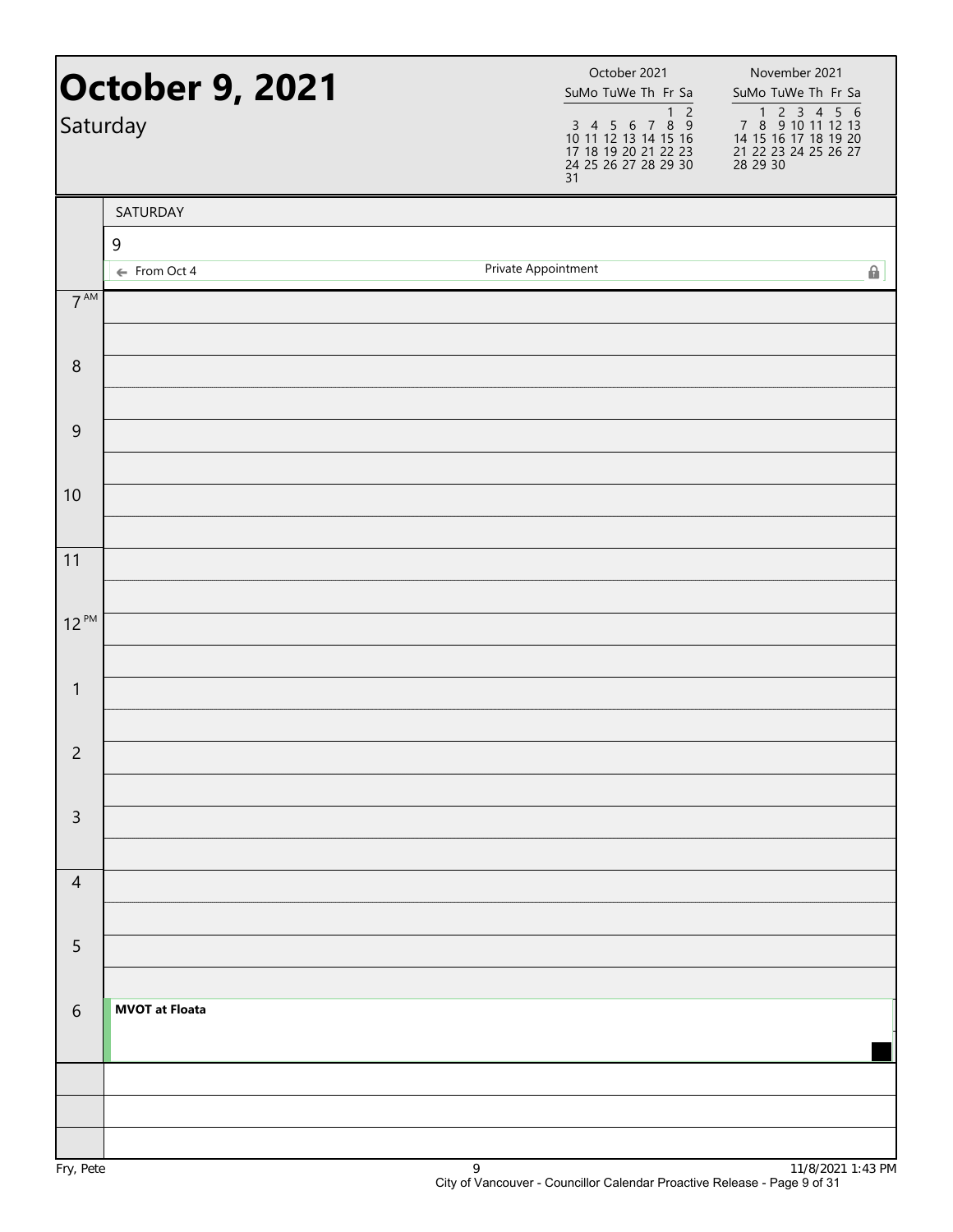| Saturday        | <b>October 9, 2021</b> | October 2021<br>SuMo TuWe Th Fr Sa<br>1 <sub>2</sub><br>3  4  5  6  7  8  9<br>10  11  12  13  14  15  16<br>17  18  19  20  21  22  23<br>24  25  26  27  28  29  30<br>31 | November 2021<br>SuMo TuWe Th Fr Sa<br>1 2 3 4 5 6<br>7 8 9 10 11 12 13<br>14 15 16 17 18 19 20<br>21 22 23 24 25 26 27<br>28 29 30 |
|-----------------|------------------------|-----------------------------------------------------------------------------------------------------------------------------------------------------------------------------|-------------------------------------------------------------------------------------------------------------------------------------|
|                 | SATURDAY               |                                                                                                                                                                             |                                                                                                                                     |
|                 | 9                      |                                                                                                                                                                             |                                                                                                                                     |
|                 | ← From Oct 4           | Private Appointment                                                                                                                                                         | A                                                                                                                                   |
| 7 <sup>AM</sup> |                        |                                                                                                                                                                             |                                                                                                                                     |
| $\, 8$          |                        |                                                                                                                                                                             |                                                                                                                                     |
| $\mathsf 9$     |                        |                                                                                                                                                                             |                                                                                                                                     |
| 10              |                        |                                                                                                                                                                             |                                                                                                                                     |
| 11              |                        |                                                                                                                                                                             |                                                                                                                                     |
| $12^{PM}$       |                        |                                                                                                                                                                             |                                                                                                                                     |
| $\mathbf{1}$    |                        |                                                                                                                                                                             |                                                                                                                                     |
| $\mathsf{2}\,$  |                        |                                                                                                                                                                             |                                                                                                                                     |
| $\overline{3}$  |                        |                                                                                                                                                                             |                                                                                                                                     |
| $\overline{4}$  |                        |                                                                                                                                                                             |                                                                                                                                     |
| 5               |                        |                                                                                                                                                                             |                                                                                                                                     |
| $6\,$           | <b>MVOT at Floata</b>  |                                                                                                                                                                             |                                                                                                                                     |
|                 |                        |                                                                                                                                                                             |                                                                                                                                     |
|                 |                        |                                                                                                                                                                             |                                                                                                                                     |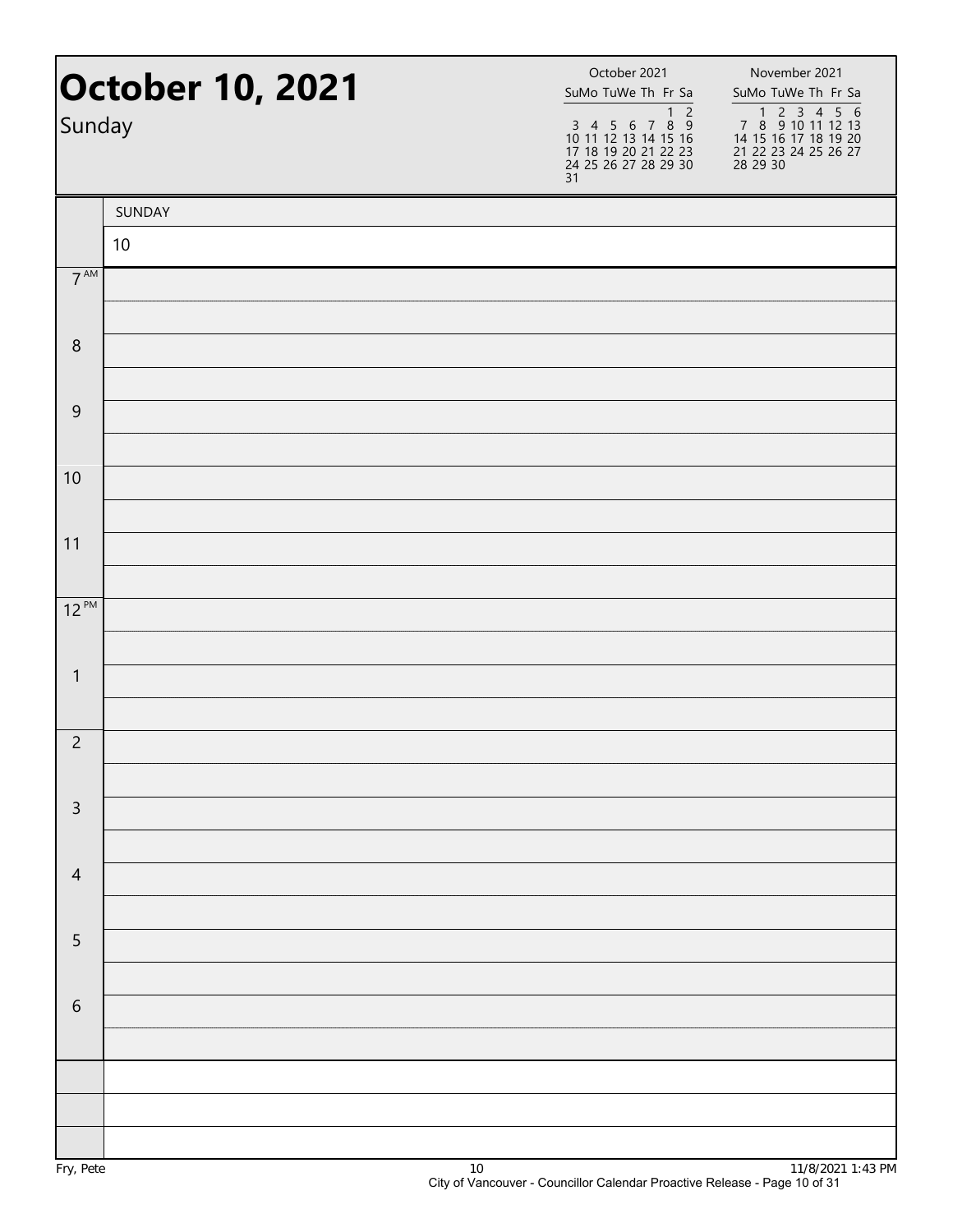| <b>October 10, 2021</b><br>Sunday |        | October 2021<br>SuMo TuWe Th Fr Sa<br>$\begin{array}{ccccccccc}\n & & & & & & & & & 1 & 2 \\ 3 & 4 & 5 & 6 & 7 & 8 & 9\n\end{array}$<br>10 11 12 13 14 15 16<br>17 18 19 20 21 22 23<br>24 25 26 27 28 29 30<br>31 | November 2021<br>SuMo TuWe Th Fr Sa<br>7 8 9 10 11 12 13<br>14 15 16 17 18 19 20<br>21 22 23 24 25 26 27<br>28 29 30 |  |
|-----------------------------------|--------|--------------------------------------------------------------------------------------------------------------------------------------------------------------------------------------------------------------------|----------------------------------------------------------------------------------------------------------------------|--|
|                                   | SUNDAY |                                                                                                                                                                                                                    |                                                                                                                      |  |
|                                   | 10     |                                                                                                                                                                                                                    |                                                                                                                      |  |
| $7^{\text{AM}}$                   |        |                                                                                                                                                                                                                    |                                                                                                                      |  |
| $\, 8$                            |        |                                                                                                                                                                                                                    |                                                                                                                      |  |
|                                   |        |                                                                                                                                                                                                                    |                                                                                                                      |  |
| $\boldsymbol{9}$                  |        |                                                                                                                                                                                                                    |                                                                                                                      |  |
| 10                                |        |                                                                                                                                                                                                                    |                                                                                                                      |  |
|                                   |        |                                                                                                                                                                                                                    |                                                                                                                      |  |
| 11                                |        |                                                                                                                                                                                                                    |                                                                                                                      |  |
|                                   |        |                                                                                                                                                                                                                    |                                                                                                                      |  |
| $12^{PM}$                         |        |                                                                                                                                                                                                                    |                                                                                                                      |  |
| $\mathbf{1}$                      |        |                                                                                                                                                                                                                    |                                                                                                                      |  |
|                                   |        |                                                                                                                                                                                                                    |                                                                                                                      |  |
| $\overline{2}$                    |        |                                                                                                                                                                                                                    |                                                                                                                      |  |
|                                   |        |                                                                                                                                                                                                                    |                                                                                                                      |  |
| $\overline{3}$                    |        |                                                                                                                                                                                                                    |                                                                                                                      |  |
| $\overline{4}$                    |        |                                                                                                                                                                                                                    |                                                                                                                      |  |
|                                   |        |                                                                                                                                                                                                                    |                                                                                                                      |  |
| 5                                 |        |                                                                                                                                                                                                                    |                                                                                                                      |  |
|                                   |        |                                                                                                                                                                                                                    |                                                                                                                      |  |
| $\sqrt{6}$                        |        |                                                                                                                                                                                                                    |                                                                                                                      |  |
|                                   |        |                                                                                                                                                                                                                    |                                                                                                                      |  |
|                                   |        |                                                                                                                                                                                                                    |                                                                                                                      |  |
|                                   |        |                                                                                                                                                                                                                    |                                                                                                                      |  |
|                                   |        |                                                                                                                                                                                                                    |                                                                                                                      |  |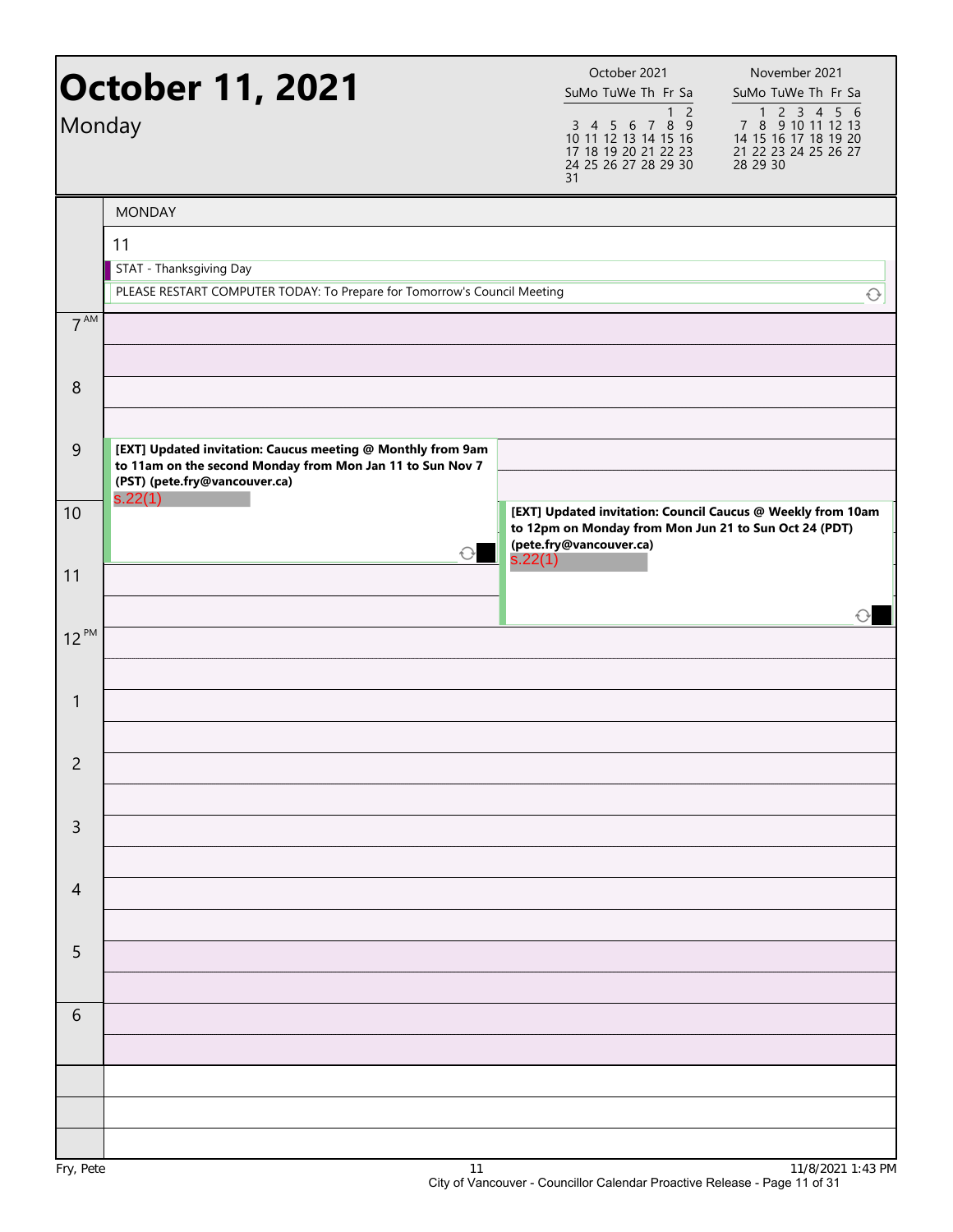| Monday         | <b>October 11, 2021</b>                                                                                                                                   | October 2021<br>SuMo TuWe Th Fr Sa<br>1 <sub>2</sub><br>3 4 5 6 7 8 9<br>10 11 12 13 14 15 16<br>17 18 19 20 21 22 23<br>24 25 26 27 28 29 30<br>31 | November 2021<br>SuMo TuWe Th Fr Sa<br>1 2 3 4 5 6<br>7 8 9 10 11 12 13<br>14 15 16 17 18 19 20<br>21 22 23 24 25 26 27<br>28 29 30 |
|----------------|-----------------------------------------------------------------------------------------------------------------------------------------------------------|-----------------------------------------------------------------------------------------------------------------------------------------------------|-------------------------------------------------------------------------------------------------------------------------------------|
|                | <b>MONDAY</b>                                                                                                                                             |                                                                                                                                                     |                                                                                                                                     |
|                | 11<br>STAT - Thanksgiving Day<br>PLEASE RESTART COMPUTER TODAY: To Prepare for Tomorrow's Council Meeting                                                 |                                                                                                                                                     | $\bigcirc$                                                                                                                          |
| $7^{AM}$       |                                                                                                                                                           |                                                                                                                                                     |                                                                                                                                     |
| 8              |                                                                                                                                                           |                                                                                                                                                     |                                                                                                                                     |
| $\overline{9}$ | [EXT] Updated invitation: Caucus meeting @ Monthly from 9am<br>to 11am on the second Monday from Mon Jan 11 to Sun Nov 7<br>(PST) (pete.fry@vancouver.ca) |                                                                                                                                                     |                                                                                                                                     |
| 10             | s.22(1)<br>$\bigcirc$                                                                                                                                     | [EXT] Updated invitation: Council Caucus @ Weekly from 10am<br>to 12pm on Monday from Mon Jun 21 to Sun Oct 24 (PDT)<br>(pete.fry@vancouver.ca)     |                                                                                                                                     |
| 11             |                                                                                                                                                           | s.22(1)                                                                                                                                             |                                                                                                                                     |
| $12^{PM}$      |                                                                                                                                                           |                                                                                                                                                     |                                                                                                                                     |
| $\mathbf{1}$   |                                                                                                                                                           |                                                                                                                                                     |                                                                                                                                     |
| 2              |                                                                                                                                                           |                                                                                                                                                     |                                                                                                                                     |
| $\mathsf{3}$   |                                                                                                                                                           |                                                                                                                                                     |                                                                                                                                     |
| $\overline{4}$ |                                                                                                                                                           |                                                                                                                                                     |                                                                                                                                     |
| $\overline{5}$ |                                                                                                                                                           |                                                                                                                                                     |                                                                                                                                     |
| 6              |                                                                                                                                                           |                                                                                                                                                     |                                                                                                                                     |
|                |                                                                                                                                                           |                                                                                                                                                     |                                                                                                                                     |
|                |                                                                                                                                                           |                                                                                                                                                     |                                                                                                                                     |
|                |                                                                                                                                                           |                                                                                                                                                     |                                                                                                                                     |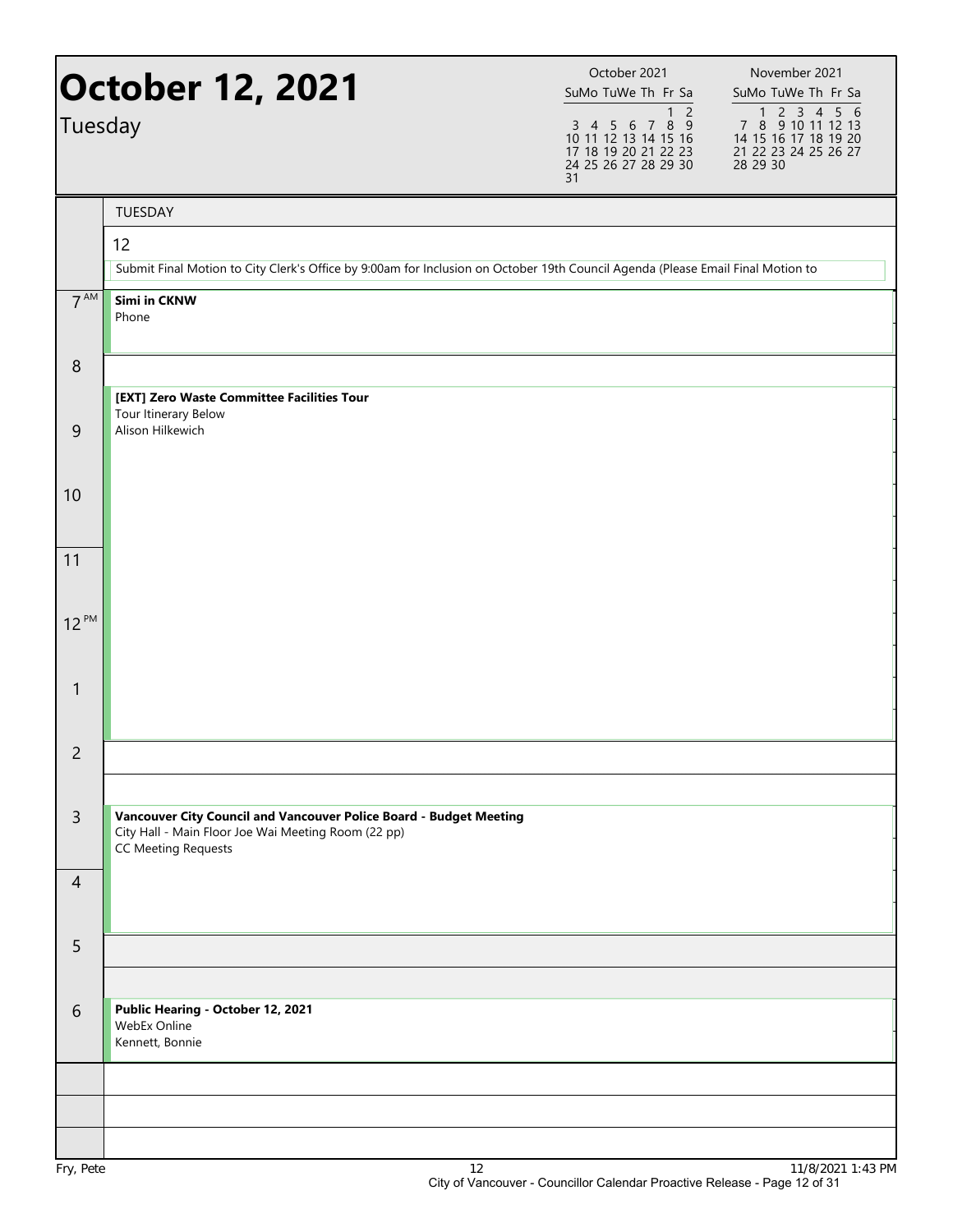| Tuesday         | <b>October 12, 2021</b>                                                                                                                                 | October 2021<br>SuMo TuWe Th Fr Sa<br>$\mathbf{1}$<br>$\overline{2}$<br>3 4 5 6 7 8 9<br>10 11 12 13 14 15 16<br>17 18 19 20 21 22 23<br>24 25 26 27 28 29 30<br>31 | November 2021<br>SuMo TuWe Th Fr Sa<br>1 2 3 4 5 6<br>7 8 9 10 11 12 13<br>14 15 16 17 18 19 20<br>21 22 23 24 25 26 27<br>28 29 30 |
|-----------------|---------------------------------------------------------------------------------------------------------------------------------------------------------|---------------------------------------------------------------------------------------------------------------------------------------------------------------------|-------------------------------------------------------------------------------------------------------------------------------------|
|                 | TUESDAY                                                                                                                                                 |                                                                                                                                                                     |                                                                                                                                     |
|                 | 12                                                                                                                                                      |                                                                                                                                                                     |                                                                                                                                     |
|                 | Submit Final Motion to City Clerk's Office by 9:00am for Inclusion on October 19th Council Agenda (Please Email Final Motion to                         |                                                                                                                                                                     |                                                                                                                                     |
| 7 <sup>AM</sup> | Simi in CKNW<br>Phone                                                                                                                                   |                                                                                                                                                                     |                                                                                                                                     |
| $\,8\,$         |                                                                                                                                                         |                                                                                                                                                                     |                                                                                                                                     |
| $\overline{9}$  | [EXT] Zero Waste Committee Facilities Tour<br>Tour Itinerary Below<br>Alison Hilkewich                                                                  |                                                                                                                                                                     |                                                                                                                                     |
| 10              |                                                                                                                                                         |                                                                                                                                                                     |                                                                                                                                     |
| 11              |                                                                                                                                                         |                                                                                                                                                                     |                                                                                                                                     |
| $12^{PM}$       |                                                                                                                                                         |                                                                                                                                                                     |                                                                                                                                     |
|                 |                                                                                                                                                         |                                                                                                                                                                     |                                                                                                                                     |
| $\mathbf{1}$    |                                                                                                                                                         |                                                                                                                                                                     |                                                                                                                                     |
| $\overline{c}$  |                                                                                                                                                         |                                                                                                                                                                     |                                                                                                                                     |
|                 |                                                                                                                                                         |                                                                                                                                                                     |                                                                                                                                     |
| $\overline{3}$  | Vancouver City Council and Vancouver Police Board - Budget Meeting<br>City Hall - Main Floor Joe Wai Meeting Room (22 pp)<br><b>CC Meeting Requests</b> |                                                                                                                                                                     |                                                                                                                                     |
| $\overline{4}$  |                                                                                                                                                         |                                                                                                                                                                     |                                                                                                                                     |
| 5               |                                                                                                                                                         |                                                                                                                                                                     |                                                                                                                                     |
| 6               | Public Hearing - October 12, 2021<br>WebEx Online<br>Kennett, Bonnie                                                                                    |                                                                                                                                                                     |                                                                                                                                     |
|                 |                                                                                                                                                         |                                                                                                                                                                     |                                                                                                                                     |
|                 |                                                                                                                                                         |                                                                                                                                                                     |                                                                                                                                     |
|                 |                                                                                                                                                         |                                                                                                                                                                     |                                                                                                                                     |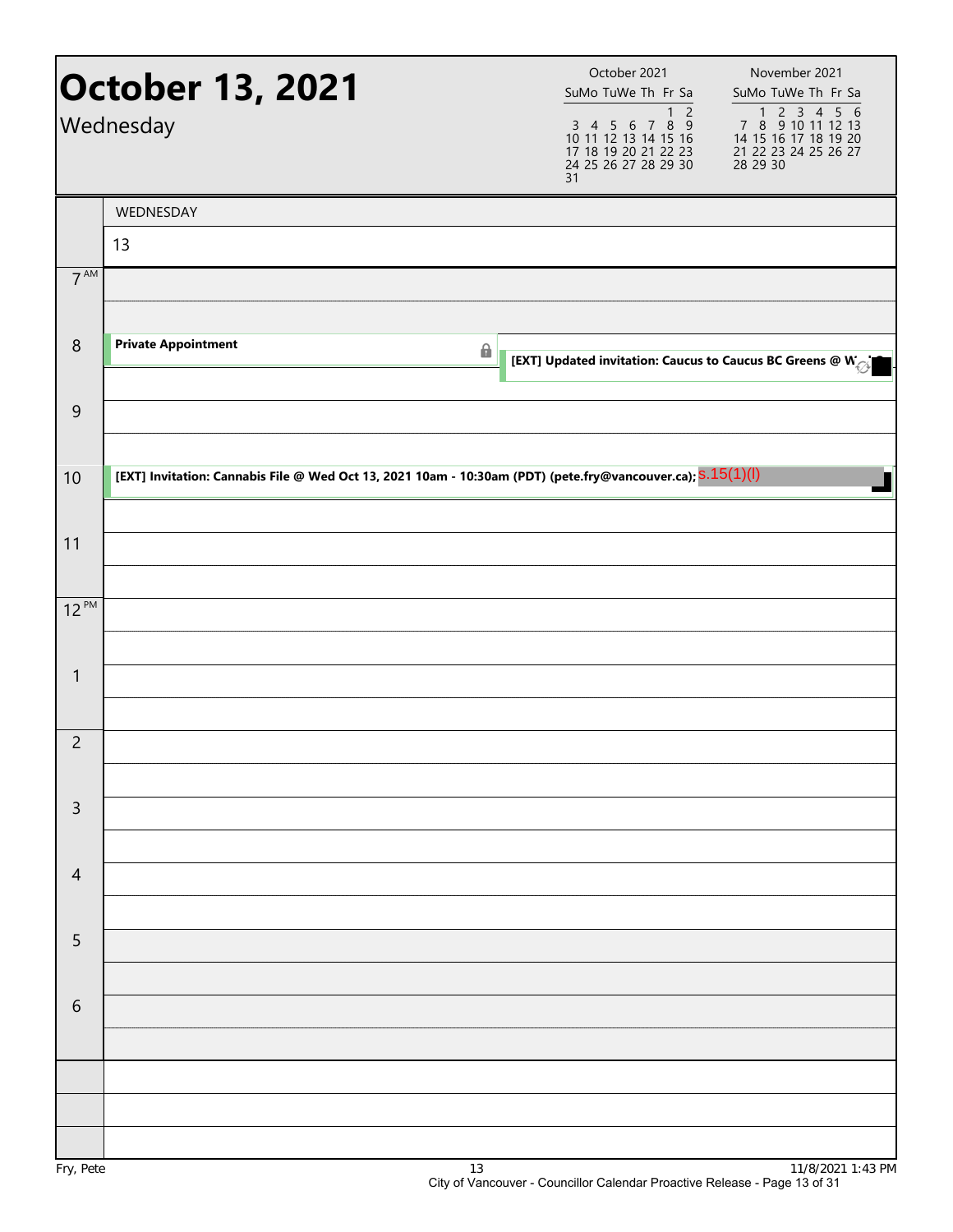|                 | <b>October 13, 2021</b><br>Wednesday                                                                        |   | November 2021<br>SuMo TuWe Th Fr Sa<br>SuMo TuWe Th Fr Sa<br>7 8 9 10 11 12 13<br>$1 2$<br>3 4 5 6 7 8 9<br>10 11 12 13 14 15 16<br>14 15 16 17 18 19 20<br>17 18 19 20 21 22 23<br>24 25 26 27 28 29 30<br>21 22 23 24 25 26 27<br>28 29 30 |
|-----------------|-------------------------------------------------------------------------------------------------------------|---|----------------------------------------------------------------------------------------------------------------------------------------------------------------------------------------------------------------------------------------------|
|                 | WEDNESDAY                                                                                                   |   |                                                                                                                                                                                                                                              |
| 7 <sup>AM</sup> | 13                                                                                                          |   |                                                                                                                                                                                                                                              |
|                 |                                                                                                             |   |                                                                                                                                                                                                                                              |
| $\,8\,$         | <b>Private Appointment</b>                                                                                  | 6 | [EXT] Updated invitation: Caucus to Caucus BC Greens @ $W_{\text{opt}}$                                                                                                                                                                      |
| $\overline{9}$  |                                                                                                             |   |                                                                                                                                                                                                                                              |
| 10              | [EXT] Invitation: Cannabis File @ Wed Oct 13, 2021 10am - 10:30am (PDT) (pete.fry@vancouver.ca); S.15(1)(l) |   |                                                                                                                                                                                                                                              |
|                 |                                                                                                             |   |                                                                                                                                                                                                                                              |
| 11              |                                                                                                             |   |                                                                                                                                                                                                                                              |
| $12^{PM}$       |                                                                                                             |   |                                                                                                                                                                                                                                              |
|                 |                                                                                                             |   |                                                                                                                                                                                                                                              |
| $\mathbf{1}$    |                                                                                                             |   |                                                                                                                                                                                                                                              |
| $\overline{c}$  |                                                                                                             |   |                                                                                                                                                                                                                                              |
| $\mathsf{3}$    |                                                                                                             |   |                                                                                                                                                                                                                                              |
| $\overline{4}$  |                                                                                                             |   |                                                                                                                                                                                                                                              |
| 5               |                                                                                                             |   |                                                                                                                                                                                                                                              |
| $\sqrt{6}$      |                                                                                                             |   |                                                                                                                                                                                                                                              |
|                 |                                                                                                             |   |                                                                                                                                                                                                                                              |
|                 |                                                                                                             |   |                                                                                                                                                                                                                                              |
|                 |                                                                                                             |   |                                                                                                                                                                                                                                              |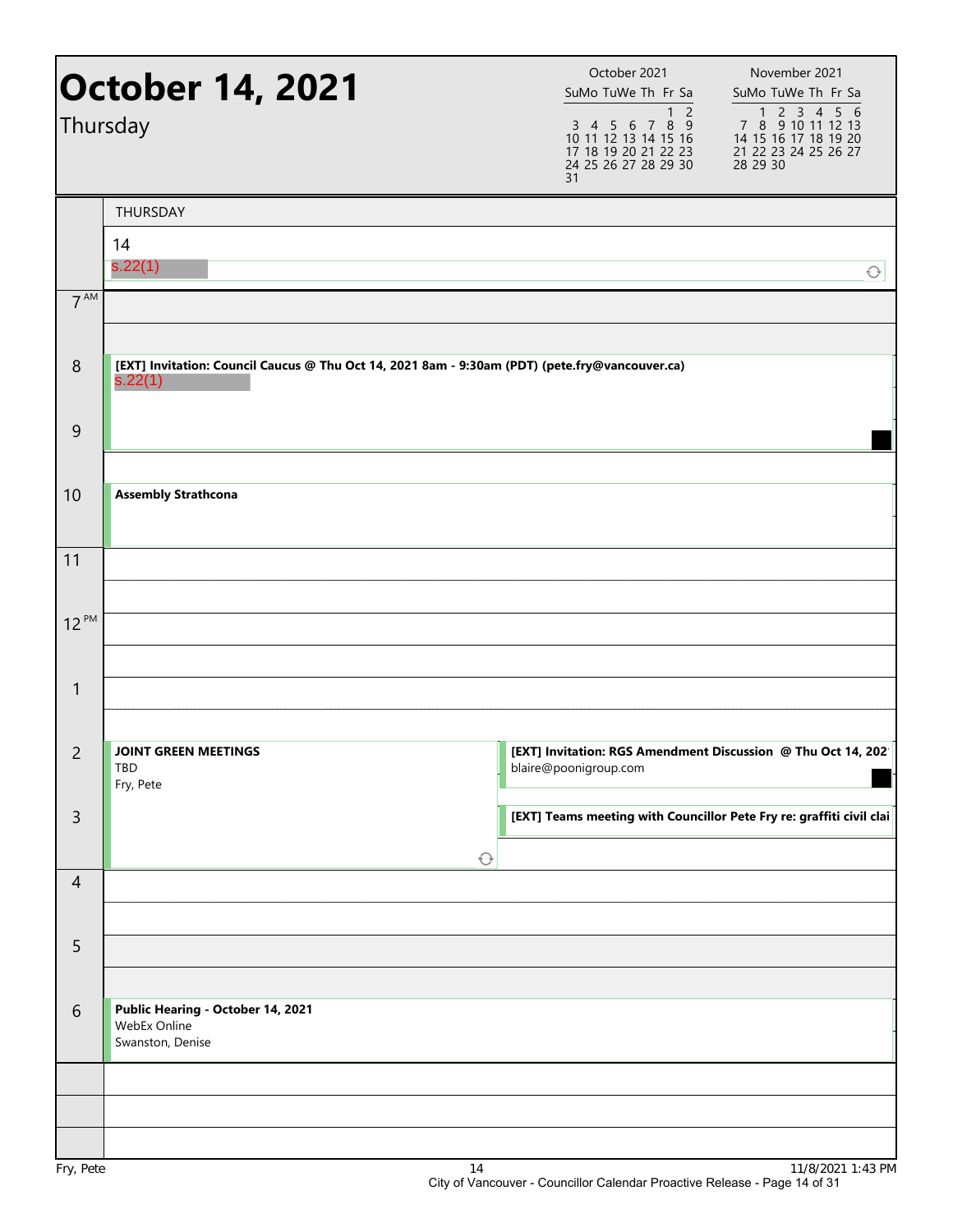|                  | <b>October 14, 2021</b><br>Thursday                                                                       | October 2021<br>November 2021<br>SuMo TuWe Th Fr Sa<br>SuMo TuWe Th Fr Sa<br>1 2 3 4 5 6<br>1 <sub>2</sub><br>3 4 5 6 7 8 9<br>7 8 9 10 11 12 13<br>10 11 12 13 14 15 16<br>14 15 16 17 18 19 20<br>17 18 19 20 21 22 23<br>21 22 23 24 25 26 27<br>28 29 30<br>24 25 26 27 28 29 30<br>31 |
|------------------|-----------------------------------------------------------------------------------------------------------|--------------------------------------------------------------------------------------------------------------------------------------------------------------------------------------------------------------------------------------------------------------------------------------------|
|                  | THURSDAY                                                                                                  |                                                                                                                                                                                                                                                                                            |
|                  | 14<br>s.22(1)                                                                                             | $\bigcirc$                                                                                                                                                                                                                                                                                 |
| 7 <sup>AM</sup>  |                                                                                                           |                                                                                                                                                                                                                                                                                            |
| $\,8\,$          | [EXT] Invitation: Council Caucus @ Thu Oct 14, 2021 8am - 9:30am (PDT) (pete.fry@vancouver.ca)<br>s.22(1) |                                                                                                                                                                                                                                                                                            |
| $\boldsymbol{9}$ |                                                                                                           |                                                                                                                                                                                                                                                                                            |
| 10               | <b>Assembly Strathcona</b>                                                                                |                                                                                                                                                                                                                                                                                            |
| 11               |                                                                                                           |                                                                                                                                                                                                                                                                                            |
| $12^{PM}$        |                                                                                                           |                                                                                                                                                                                                                                                                                            |
| $\mathbf{1}$     |                                                                                                           |                                                                                                                                                                                                                                                                                            |
| $\overline{c}$   | <b>JOINT GREEN MEETINGS</b><br>TBD<br>Fry, Pete                                                           | [EXT] Invitation: RGS Amendment Discussion @ Thu Oct 14, 202<br>blaire@poonigroup.com                                                                                                                                                                                                      |
| $\mathsf{3}$     |                                                                                                           | [EXT] Teams meeting with Councillor Pete Fry re: graffiti civil clai<br>$\bigcirc$                                                                                                                                                                                                         |
| $\overline{4}$   |                                                                                                           |                                                                                                                                                                                                                                                                                            |
| $\overline{5}$   |                                                                                                           |                                                                                                                                                                                                                                                                                            |
| $6\,$            | Public Hearing - October 14, 2021<br>WebEx Online<br>Swanston, Denise                                     |                                                                                                                                                                                                                                                                                            |
|                  |                                                                                                           |                                                                                                                                                                                                                                                                                            |
| $Env$ $Det$      | 1 <sub>1</sub>                                                                                            | 11/0/2021 1:42 DM                                                                                                                                                                                                                                                                          |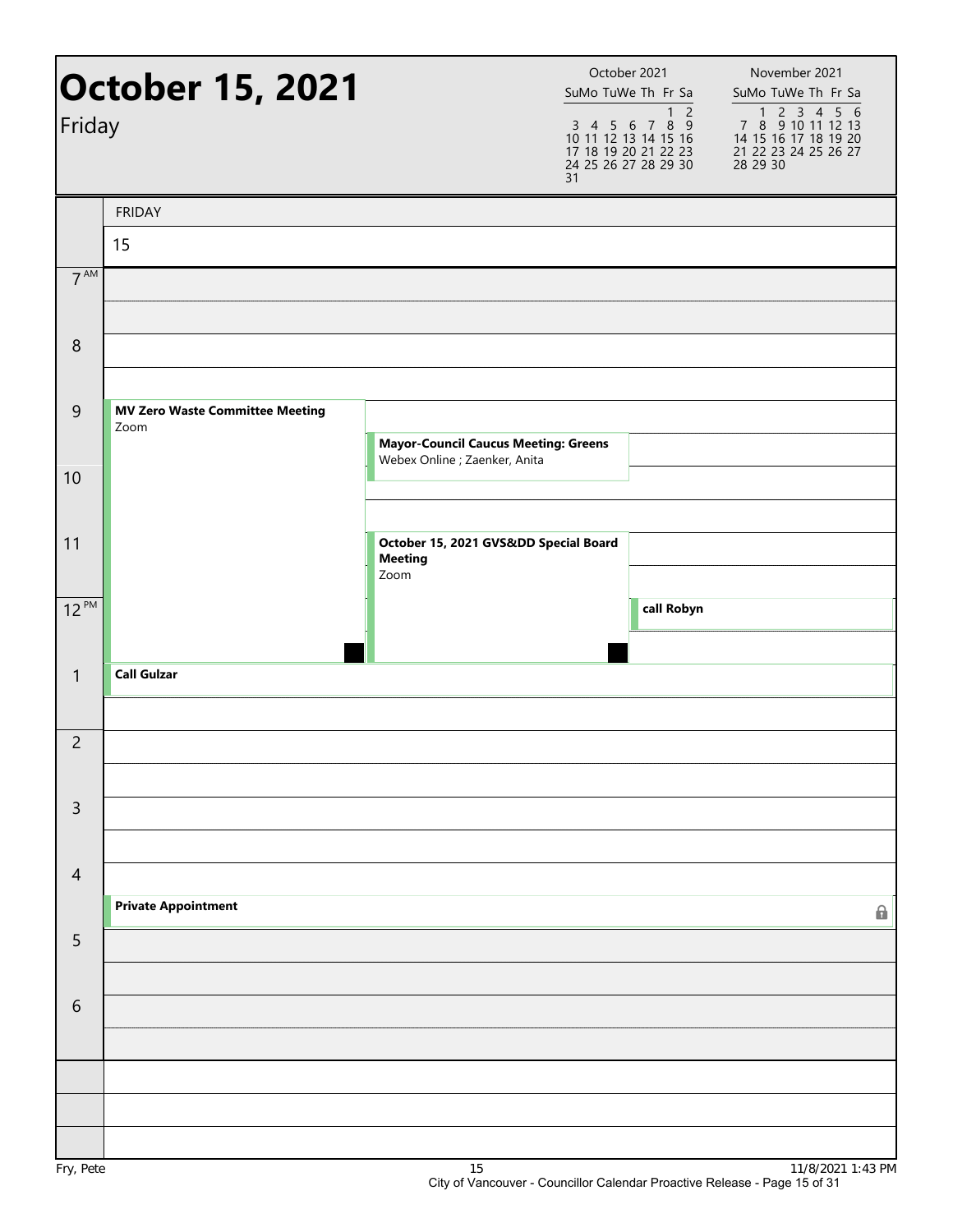| Friday          | <b>October 15, 2021</b>                        | 31                                                                           | October 2021<br>SuMo TuWe Th Fr Sa<br>1 <sub>2</sub><br>3 4 5 6 7 8 9<br>10 11 12 13 14 15 16<br>17 18 19 20 21 22 23<br>24 25 26 27 28 29 30 | November 2021<br>SuMo TuWe Th Fr Sa<br>7 8 9 10 11 12 13<br>14 15 16 17 18 19 20<br>21 22 23 24 25 26 27<br>28 29 30 |
|-----------------|------------------------------------------------|------------------------------------------------------------------------------|-----------------------------------------------------------------------------------------------------------------------------------------------|----------------------------------------------------------------------------------------------------------------------|
|                 | <b>FRIDAY</b>                                  |                                                                              |                                                                                                                                               |                                                                                                                      |
|                 | 15                                             |                                                                              |                                                                                                                                               |                                                                                                                      |
| $7^{\text{AM}}$ |                                                |                                                                              |                                                                                                                                               |                                                                                                                      |
| 8               |                                                |                                                                              |                                                                                                                                               |                                                                                                                      |
|                 |                                                |                                                                              |                                                                                                                                               |                                                                                                                      |
| 9               | <b>MV Zero Waste Committee Meeting</b><br>Zoom |                                                                              |                                                                                                                                               |                                                                                                                      |
|                 |                                                | <b>Mayor-Council Caucus Meeting: Greens</b><br>Webex Online ; Zaenker, Anita |                                                                                                                                               |                                                                                                                      |
| 10              |                                                |                                                                              |                                                                                                                                               |                                                                                                                      |
|                 |                                                |                                                                              |                                                                                                                                               |                                                                                                                      |
| 11              |                                                | October 15, 2021 GVSⅅ Special Board<br><b>Meeting</b>                        |                                                                                                                                               |                                                                                                                      |
| $12^{PM}$       |                                                | Zoom                                                                         | call Robyn                                                                                                                                    |                                                                                                                      |
|                 |                                                |                                                                              |                                                                                                                                               |                                                                                                                      |
| $\mathbf{1}$    | <b>Call Gulzar</b>                             |                                                                              |                                                                                                                                               |                                                                                                                      |
|                 |                                                |                                                                              |                                                                                                                                               |                                                                                                                      |
| $\overline{2}$  |                                                |                                                                              |                                                                                                                                               |                                                                                                                      |
|                 |                                                |                                                                              |                                                                                                                                               |                                                                                                                      |
| $\overline{3}$  |                                                |                                                                              |                                                                                                                                               |                                                                                                                      |
|                 |                                                |                                                                              |                                                                                                                                               |                                                                                                                      |
| $\overline{4}$  | <b>Private Appointment</b>                     |                                                                              |                                                                                                                                               |                                                                                                                      |
| 5               |                                                |                                                                              |                                                                                                                                               | Α                                                                                                                    |
|                 |                                                |                                                                              |                                                                                                                                               |                                                                                                                      |
| $\sqrt{6}$      |                                                |                                                                              |                                                                                                                                               |                                                                                                                      |
|                 |                                                |                                                                              |                                                                                                                                               |                                                                                                                      |
|                 |                                                |                                                                              |                                                                                                                                               |                                                                                                                      |
|                 |                                                |                                                                              |                                                                                                                                               |                                                                                                                      |
|                 |                                                |                                                                              |                                                                                                                                               |                                                                                                                      |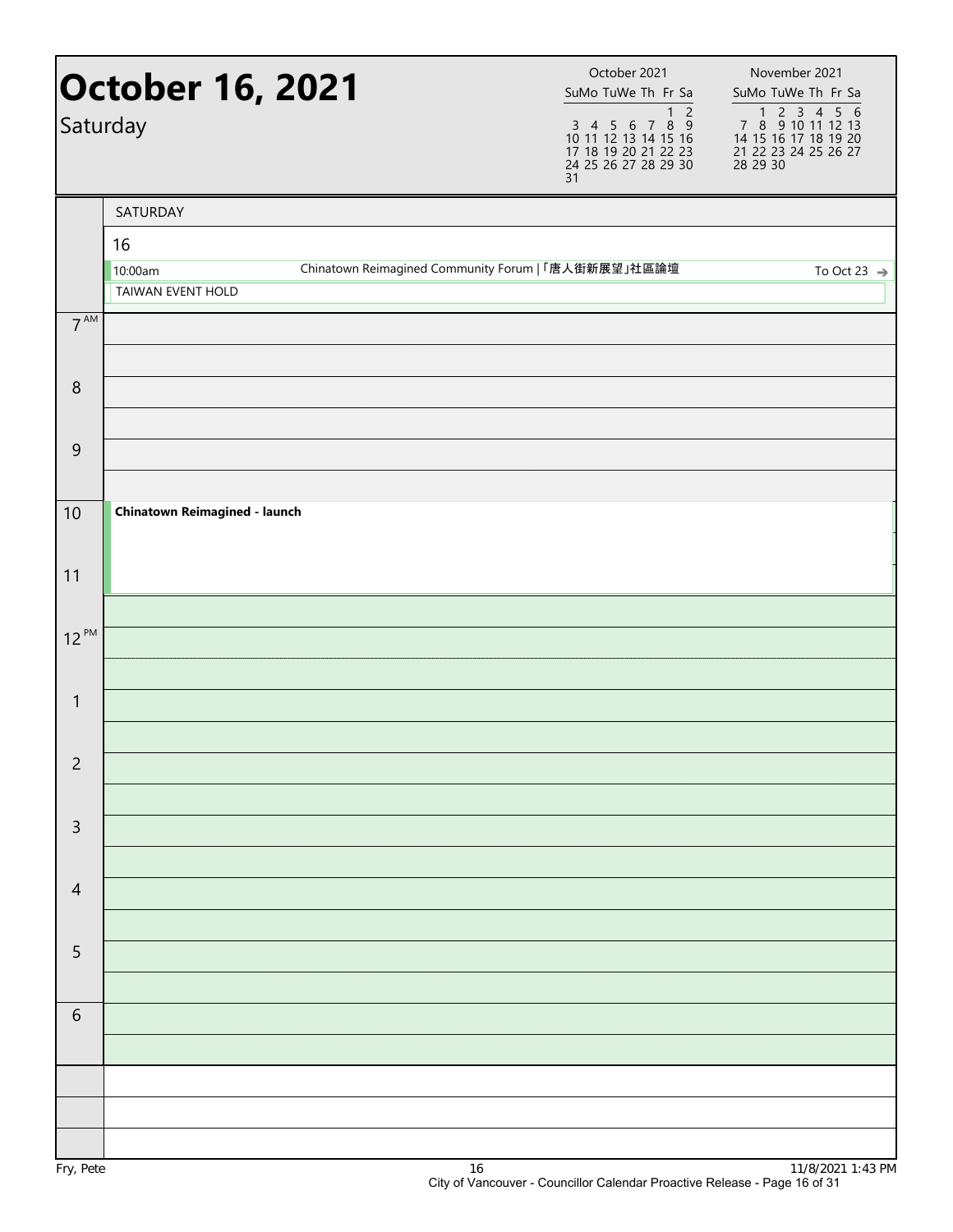|                 | <b>October 16, 2021</b><br>Saturday |                                                     | 31 | October 2021<br>SuMo TuWe Th Fr Sa<br>$\overline{2}$<br>$\mathbf{1}$<br>$\begin{array}{cccccc}\n3 & 4 & 5 & 6 & 7 & 8 & 9 \\ 10 & 11 & 12 & 13 & 14 & 15 & 16\n\end{array}$<br>17 18 19 20 21 22 23<br>24 25 26 27 28 29 30 | November 2021<br>SuMo TuWe Th Fr Sa<br>1 2 3 4 5 6<br>7 8 9 10 11 12 13<br>14 15 16 17 18 19 20<br>21 22 23 24 25 26 27<br>28 29 30 |
|-----------------|-------------------------------------|-----------------------------------------------------|----|-----------------------------------------------------------------------------------------------------------------------------------------------------------------------------------------------------------------------------|-------------------------------------------------------------------------------------------------------------------------------------|
|                 | SATURDAY                            |                                                     |    |                                                                                                                                                                                                                             |                                                                                                                                     |
|                 | 16                                  |                                                     |    |                                                                                                                                                                                                                             |                                                                                                                                     |
|                 | 10:00am<br>TAIWAN EVENT HOLD        | Chinatown Reimagined Community Forum   「唐人街新展望」社區論壇 |    |                                                                                                                                                                                                                             | To Oct 23 $\Rightarrow$                                                                                                             |
| $7^{\text{AM}}$ |                                     |                                                     |    |                                                                                                                                                                                                                             |                                                                                                                                     |
|                 |                                     |                                                     |    |                                                                                                                                                                                                                             |                                                                                                                                     |
| 8               |                                     |                                                     |    |                                                                                                                                                                                                                             |                                                                                                                                     |
| $\overline{9}$  |                                     |                                                     |    |                                                                                                                                                                                                                             |                                                                                                                                     |
|                 |                                     |                                                     |    |                                                                                                                                                                                                                             |                                                                                                                                     |
| 10              | Chinatown Reimagined - launch       |                                                     |    |                                                                                                                                                                                                                             |                                                                                                                                     |
| 11              |                                     |                                                     |    |                                                                                                                                                                                                                             |                                                                                                                                     |
|                 |                                     |                                                     |    |                                                                                                                                                                                                                             |                                                                                                                                     |
| $12^{PM}$       |                                     |                                                     |    |                                                                                                                                                                                                                             |                                                                                                                                     |
|                 |                                     |                                                     |    |                                                                                                                                                                                                                             |                                                                                                                                     |
| $\mathbf{1}$    |                                     |                                                     |    |                                                                                                                                                                                                                             |                                                                                                                                     |
|                 |                                     |                                                     |    |                                                                                                                                                                                                                             |                                                                                                                                     |
| $\overline{c}$  |                                     |                                                     |    |                                                                                                                                                                                                                             |                                                                                                                                     |
| $\mathsf 3$     |                                     |                                                     |    |                                                                                                                                                                                                                             |                                                                                                                                     |
|                 |                                     |                                                     |    |                                                                                                                                                                                                                             |                                                                                                                                     |
| $\overline{4}$  |                                     |                                                     |    |                                                                                                                                                                                                                             |                                                                                                                                     |
|                 |                                     |                                                     |    |                                                                                                                                                                                                                             |                                                                                                                                     |
| $\sqrt{5}$      |                                     |                                                     |    |                                                                                                                                                                                                                             |                                                                                                                                     |
| $\sqrt{6}$      |                                     |                                                     |    |                                                                                                                                                                                                                             |                                                                                                                                     |
|                 |                                     |                                                     |    |                                                                                                                                                                                                                             |                                                                                                                                     |
|                 |                                     |                                                     |    |                                                                                                                                                                                                                             |                                                                                                                                     |
|                 |                                     |                                                     |    |                                                                                                                                                                                                                             |                                                                                                                                     |
|                 |                                     |                                                     |    |                                                                                                                                                                                                                             |                                                                                                                                     |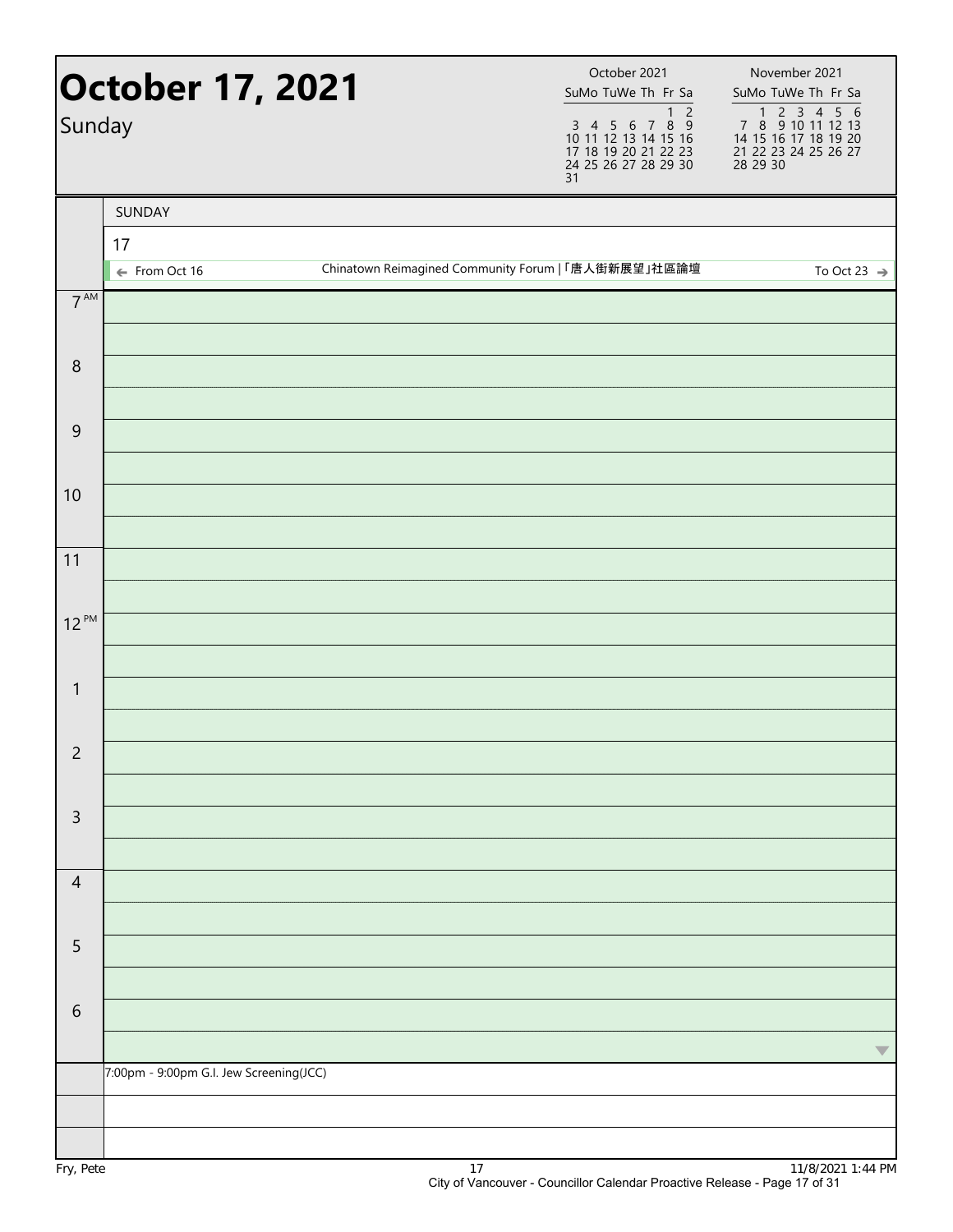| Sunday           | <b>October 17, 2021</b>                 |    | October 2021<br>SuMo TuWe Th Fr Sa<br>1 <sub>2</sub><br>3 4 5 6 7 8 9<br>10 11 12 13 14 15 16<br>17 18 19 20 21 22 23<br>24 25 26 27 28 29 30<br>31 | November 2021<br>SuMo TuWe Th Fr Sa<br>1 2 3 4 5 6<br>7 8 9 10 11 12 13<br>14 15 16 17 18 19 20<br>21 22 23 24 25 26 27<br>28 29 30 |
|------------------|-----------------------------------------|----|-----------------------------------------------------------------------------------------------------------------------------------------------------|-------------------------------------------------------------------------------------------------------------------------------------|
|                  | SUNDAY                                  |    |                                                                                                                                                     |                                                                                                                                     |
|                  | 17                                      |    |                                                                                                                                                     |                                                                                                                                     |
|                  | ← From Oct 16                           |    | Chinatown Reimagined Community Forum   「唐人街新展望」社區論壇                                                                                                 | To Oct 23 $\Rightarrow$                                                                                                             |
| $7^{\text{AM}}$  |                                         |    |                                                                                                                                                     |                                                                                                                                     |
| $\boldsymbol{8}$ |                                         |    |                                                                                                                                                     |                                                                                                                                     |
| $\boldsymbol{9}$ |                                         |    |                                                                                                                                                     |                                                                                                                                     |
| 10               |                                         |    |                                                                                                                                                     |                                                                                                                                     |
| 11               |                                         |    |                                                                                                                                                     |                                                                                                                                     |
| $12^{PM}$        |                                         |    |                                                                                                                                                     |                                                                                                                                     |
| $\mathbf{1}$     |                                         |    |                                                                                                                                                     |                                                                                                                                     |
| $\overline{c}$   |                                         |    |                                                                                                                                                     |                                                                                                                                     |
| $\overline{3}$   |                                         |    |                                                                                                                                                     |                                                                                                                                     |
| $\overline{4}$   |                                         |    |                                                                                                                                                     |                                                                                                                                     |
| 5                |                                         |    |                                                                                                                                                     |                                                                                                                                     |
| $\sqrt{6}$       |                                         |    |                                                                                                                                                     |                                                                                                                                     |
|                  | 7:00pm - 9:00pm G.I. Jew Screening(JCC) |    |                                                                                                                                                     | $\blacktriangledown$                                                                                                                |
|                  |                                         |    |                                                                                                                                                     |                                                                                                                                     |
| Fry, Pete        |                                         | 17 |                                                                                                                                                     | 11/8/2021 1:44 PM                                                                                                                   |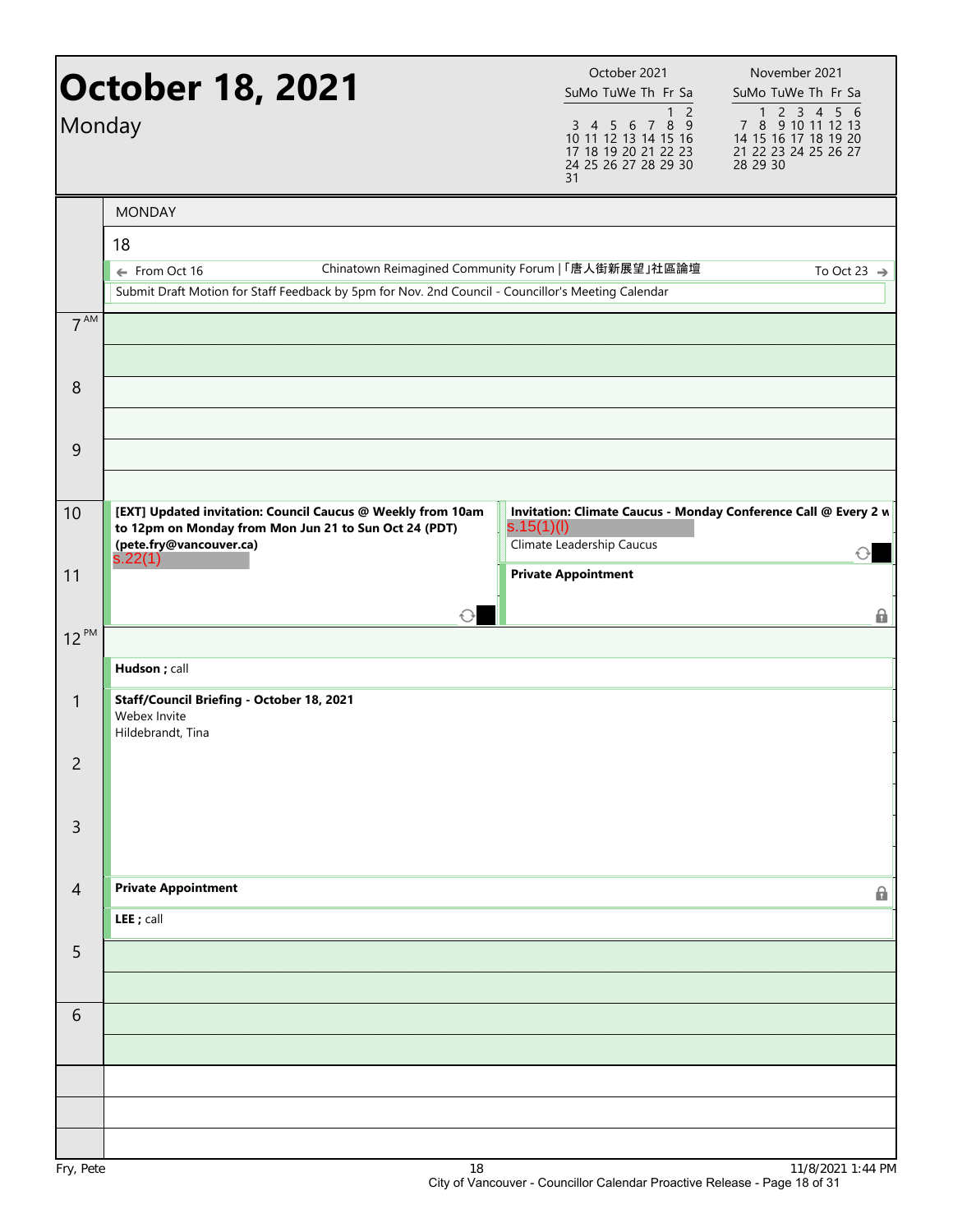| Monday         | <b>October 18, 2021</b>                                                                                                                                    | October 2021<br>SuMo TuWe Th Fr Sa<br>1 <sub>2</sub><br>3 4 5 6 7 8 9<br>10 11 12 13 14 15 16<br>17 18 19 20 21 22 23<br>24 25 26 27 28 29 30<br>31 | November 2021<br>SuMo TuWe Th Fr Sa<br>7 8 9 10 11 12 13<br>14 15 16 17 18 19 20<br>21 22 23 24 25 26 27<br>28 29 30 |
|----------------|------------------------------------------------------------------------------------------------------------------------------------------------------------|-----------------------------------------------------------------------------------------------------------------------------------------------------|----------------------------------------------------------------------------------------------------------------------|
|                | <b>MONDAY</b>                                                                                                                                              |                                                                                                                                                     |                                                                                                                      |
|                | 18                                                                                                                                                         |                                                                                                                                                     |                                                                                                                      |
|                | ← From Oct 16                                                                                                                                              | Chinatown Reimagined Community Forum   「唐人街新展望」社區論壇                                                                                                 | To Oct 23 $\Rightarrow$                                                                                              |
|                | Submit Draft Motion for Staff Feedback by 5pm for Nov. 2nd Council - Councillor's Meeting Calendar                                                         |                                                                                                                                                     |                                                                                                                      |
| $7^{AM}$       |                                                                                                                                                            |                                                                                                                                                     |                                                                                                                      |
| 8              |                                                                                                                                                            |                                                                                                                                                     |                                                                                                                      |
| 9              |                                                                                                                                                            |                                                                                                                                                     |                                                                                                                      |
|                |                                                                                                                                                            |                                                                                                                                                     |                                                                                                                      |
| 10             | [EXT] Updated invitation: Council Caucus @ Weekly from 10am<br>to 12pm on Monday from Mon Jun 21 to Sun Oct 24 (PDT)<br>(pete.fry@vancouver.ca)<br>s.22(1) | Invitation: Climate Caucus - Monday Conference Call @ Every 2 w<br>s.15(1)(I)<br>Climate Leadership Caucus                                          |                                                                                                                      |
| 11             |                                                                                                                                                            | <b>Private Appointment</b>                                                                                                                          |                                                                                                                      |
|                |                                                                                                                                                            |                                                                                                                                                     | 6                                                                                                                    |
| $12^{PM}$      |                                                                                                                                                            |                                                                                                                                                     |                                                                                                                      |
|                | Hudson; call                                                                                                                                               |                                                                                                                                                     |                                                                                                                      |
| $\mathbf{1}$   | Staff/Council Briefing - October 18, 2021<br>Webex Invite<br>Hildebrandt, Tina                                                                             |                                                                                                                                                     |                                                                                                                      |
| $\overline{c}$ |                                                                                                                                                            |                                                                                                                                                     |                                                                                                                      |
| $\overline{3}$ |                                                                                                                                                            |                                                                                                                                                     |                                                                                                                      |
| $\overline{4}$ | <b>Private Appointment</b>                                                                                                                                 |                                                                                                                                                     | 6                                                                                                                    |
|                | LEE ; call                                                                                                                                                 |                                                                                                                                                     |                                                                                                                      |
| 5              |                                                                                                                                                            |                                                                                                                                                     |                                                                                                                      |
|                |                                                                                                                                                            |                                                                                                                                                     |                                                                                                                      |
| 6              |                                                                                                                                                            |                                                                                                                                                     |                                                                                                                      |
|                |                                                                                                                                                            |                                                                                                                                                     |                                                                                                                      |
|                |                                                                                                                                                            |                                                                                                                                                     |                                                                                                                      |
| Fry, Pete      | 18                                                                                                                                                         |                                                                                                                                                     | 11/8/2021 1:44 PM                                                                                                    |
|                |                                                                                                                                                            |                                                                                                                                                     |                                                                                                                      |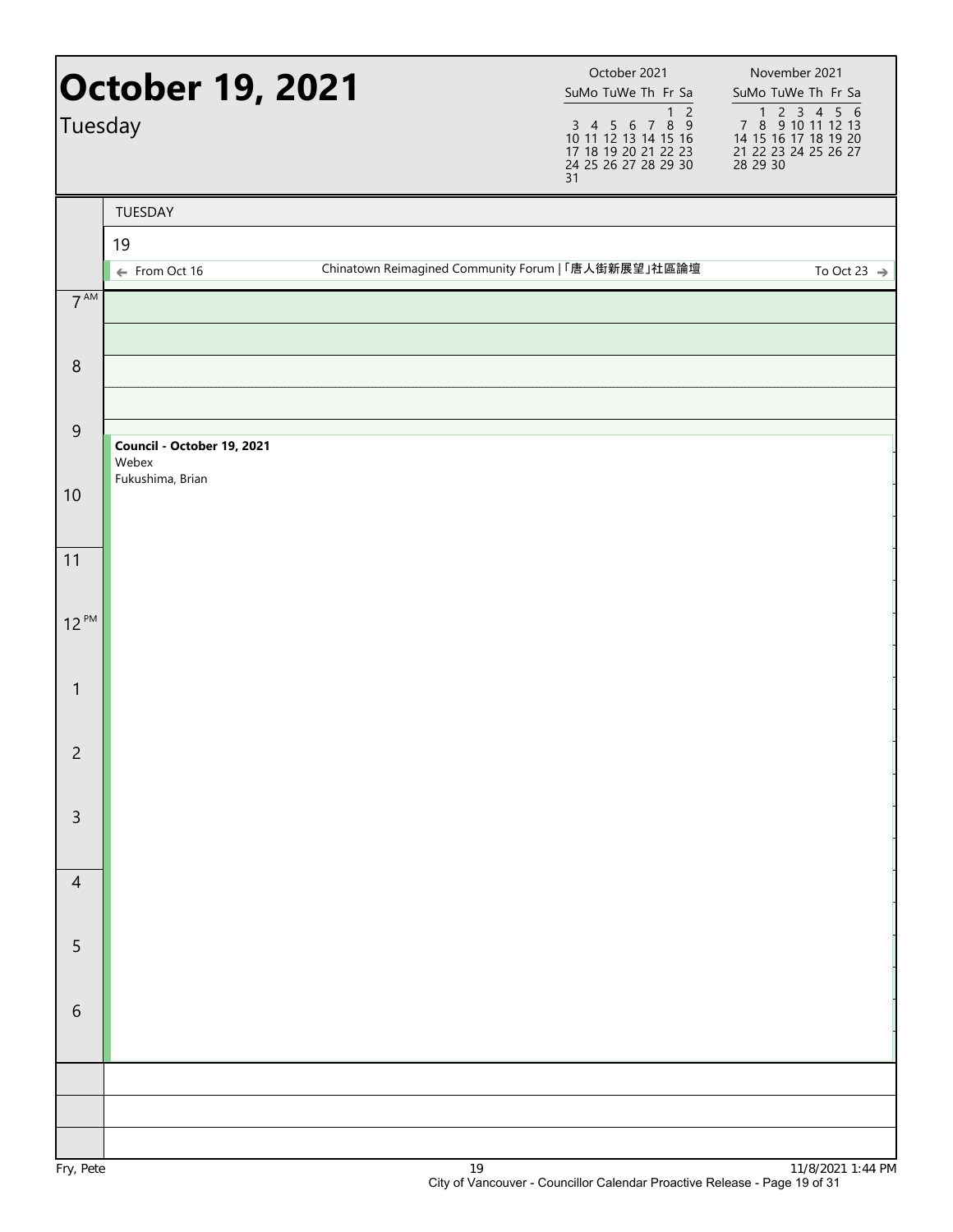| Tuesday         | <b>October 19, 2021</b>             |                                                     | 31 | October 2021<br>SuMo TuWe Th Fr Sa<br>1 <sub>2</sub><br>3 4 5 6 7 8 9<br>10 11 12 13 14 15 16<br>17 18 19 20 21 22 23<br>24 25 26 27 28 29 30 | November 2021<br>SuMo TuWe Th Fr Sa<br>1 2 3 4 5 6<br>7 8 9 10 11 12 13<br>14 15 16 17 18 19 20<br>21 22 23 24 25 26 27<br>28 29 30 |
|-----------------|-------------------------------------|-----------------------------------------------------|----|-----------------------------------------------------------------------------------------------------------------------------------------------|-------------------------------------------------------------------------------------------------------------------------------------|
|                 | TUESDAY                             |                                                     |    |                                                                                                                                               |                                                                                                                                     |
|                 | 19<br>← From Oct 16                 | Chinatown Reimagined Community Forum   「唐人街新展望」社區論壇 |    |                                                                                                                                               | To Oct 23 $\Rightarrow$                                                                                                             |
| $7^{\text{AM}}$ |                                     |                                                     |    |                                                                                                                                               |                                                                                                                                     |
| 8               |                                     |                                                     |    |                                                                                                                                               |                                                                                                                                     |
| $\overline{9}$  | Council - October 19, 2021<br>Webex |                                                     |    |                                                                                                                                               |                                                                                                                                     |
| 10              | Fukushima, Brian                    |                                                     |    |                                                                                                                                               |                                                                                                                                     |
| 11              |                                     |                                                     |    |                                                                                                                                               |                                                                                                                                     |
| $12^{PM}$       |                                     |                                                     |    |                                                                                                                                               |                                                                                                                                     |
| $\mathbf{1}$    |                                     |                                                     |    |                                                                                                                                               |                                                                                                                                     |
| $\overline{c}$  |                                     |                                                     |    |                                                                                                                                               |                                                                                                                                     |
| $\mathsf 3$     |                                     |                                                     |    |                                                                                                                                               |                                                                                                                                     |
| $\overline{4}$  |                                     |                                                     |    |                                                                                                                                               |                                                                                                                                     |
| 5               |                                     |                                                     |    |                                                                                                                                               |                                                                                                                                     |
| 6               |                                     |                                                     |    |                                                                                                                                               |                                                                                                                                     |
|                 |                                     |                                                     |    |                                                                                                                                               |                                                                                                                                     |
|                 |                                     |                                                     |    |                                                                                                                                               |                                                                                                                                     |
|                 |                                     |                                                     |    |                                                                                                                                               |                                                                                                                                     |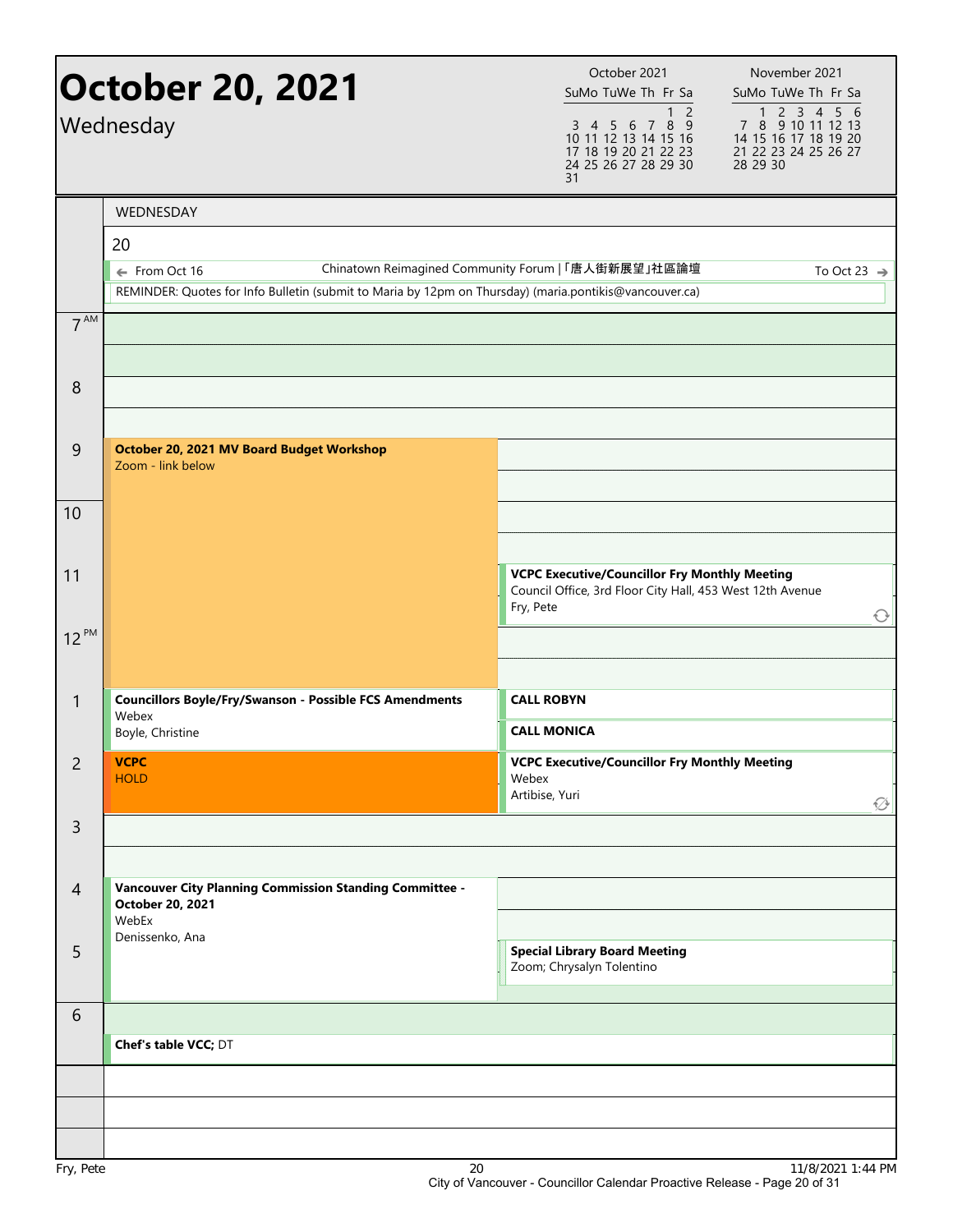|                 | <b>October 20, 2021</b><br>Wednesday                                                                                    | October 2021<br>SuMo TuWe Th Fr Sa<br>$\overline{2}$<br>1<br>3 4 5 6 7 8 9<br>10 11 12 13 14 15 16<br>17 18 19 20 21 22 23<br>24 25 26 27 28 29 30<br>31 | November 2021<br>SuMo TuWe Th Fr Sa<br>7 8 9 10 11 12 13<br>14 15 16 17 18 19 20<br>21 22 23 24 25 26 27<br>28 29 30 |
|-----------------|-------------------------------------------------------------------------------------------------------------------------|----------------------------------------------------------------------------------------------------------------------------------------------------------|----------------------------------------------------------------------------------------------------------------------|
|                 | WEDNESDAY                                                                                                               |                                                                                                                                                          |                                                                                                                      |
|                 | 20                                                                                                                      |                                                                                                                                                          |                                                                                                                      |
|                 | ← From Oct 16<br>REMINDER: Quotes for Info Bulletin (submit to Maria by 12pm on Thursday) (maria.pontikis@vancouver.ca) | Chinatown Reimagined Community Forum   「唐人街新展望」社區論壇                                                                                                      | To Oct 23 $\rightarrow$                                                                                              |
| 7 <sup>AM</sup> |                                                                                                                         |                                                                                                                                                          |                                                                                                                      |
|                 |                                                                                                                         |                                                                                                                                                          |                                                                                                                      |
|                 |                                                                                                                         |                                                                                                                                                          |                                                                                                                      |
| 8               |                                                                                                                         |                                                                                                                                                          |                                                                                                                      |
| $\overline{9}$  | October 20, 2021 MV Board Budget Workshop                                                                               |                                                                                                                                                          |                                                                                                                      |
|                 | Zoom - link below                                                                                                       |                                                                                                                                                          |                                                                                                                      |
| 10              |                                                                                                                         |                                                                                                                                                          |                                                                                                                      |
|                 |                                                                                                                         |                                                                                                                                                          |                                                                                                                      |
| 11              |                                                                                                                         | <b>VCPC Executive/Councillor Fry Monthly Meeting</b>                                                                                                     |                                                                                                                      |
|                 |                                                                                                                         | Council Office, 3rd Floor City Hall, 453 West 12th Avenue<br>Fry, Pete                                                                                   |                                                                                                                      |
| $12^{PM}$       |                                                                                                                         |                                                                                                                                                          | $\bigcirc$                                                                                                           |
|                 |                                                                                                                         |                                                                                                                                                          |                                                                                                                      |
| $\mathbf{1}$    | <b>Councillors Boyle/Fry/Swanson - Possible FCS Amendments</b>                                                          | <b>CALL ROBYN</b>                                                                                                                                        |                                                                                                                      |
|                 | Webex<br>Boyle, Christine                                                                                               | <b>CALL MONICA</b>                                                                                                                                       |                                                                                                                      |
| $\overline{c}$  | <b>VCPC</b>                                                                                                             | <b>VCPC Executive/Councillor Fry Monthly Meeting</b>                                                                                                     |                                                                                                                      |
|                 | <b>HOLD</b>                                                                                                             | Webex<br>Artibise, Yuri                                                                                                                                  |                                                                                                                      |
| $\mathsf{3}$    |                                                                                                                         |                                                                                                                                                          | ∅                                                                                                                    |
|                 |                                                                                                                         |                                                                                                                                                          |                                                                                                                      |
| $\overline{4}$  | <b>Vancouver City Planning Commission Standing Committee -</b>                                                          |                                                                                                                                                          |                                                                                                                      |
|                 | October 20, 2021<br>WebEx                                                                                               |                                                                                                                                                          |                                                                                                                      |
| 5               | Denissenko, Ana                                                                                                         | <b>Special Library Board Meeting</b>                                                                                                                     |                                                                                                                      |
|                 |                                                                                                                         | Zoom; Chrysalyn Tolentino                                                                                                                                |                                                                                                                      |
| 6               |                                                                                                                         |                                                                                                                                                          |                                                                                                                      |
|                 | Chef's table VCC; DT                                                                                                    |                                                                                                                                                          |                                                                                                                      |
|                 |                                                                                                                         |                                                                                                                                                          |                                                                                                                      |
|                 |                                                                                                                         |                                                                                                                                                          |                                                                                                                      |
|                 |                                                                                                                         |                                                                                                                                                          |                                                                                                                      |
|                 |                                                                                                                         |                                                                                                                                                          |                                                                                                                      |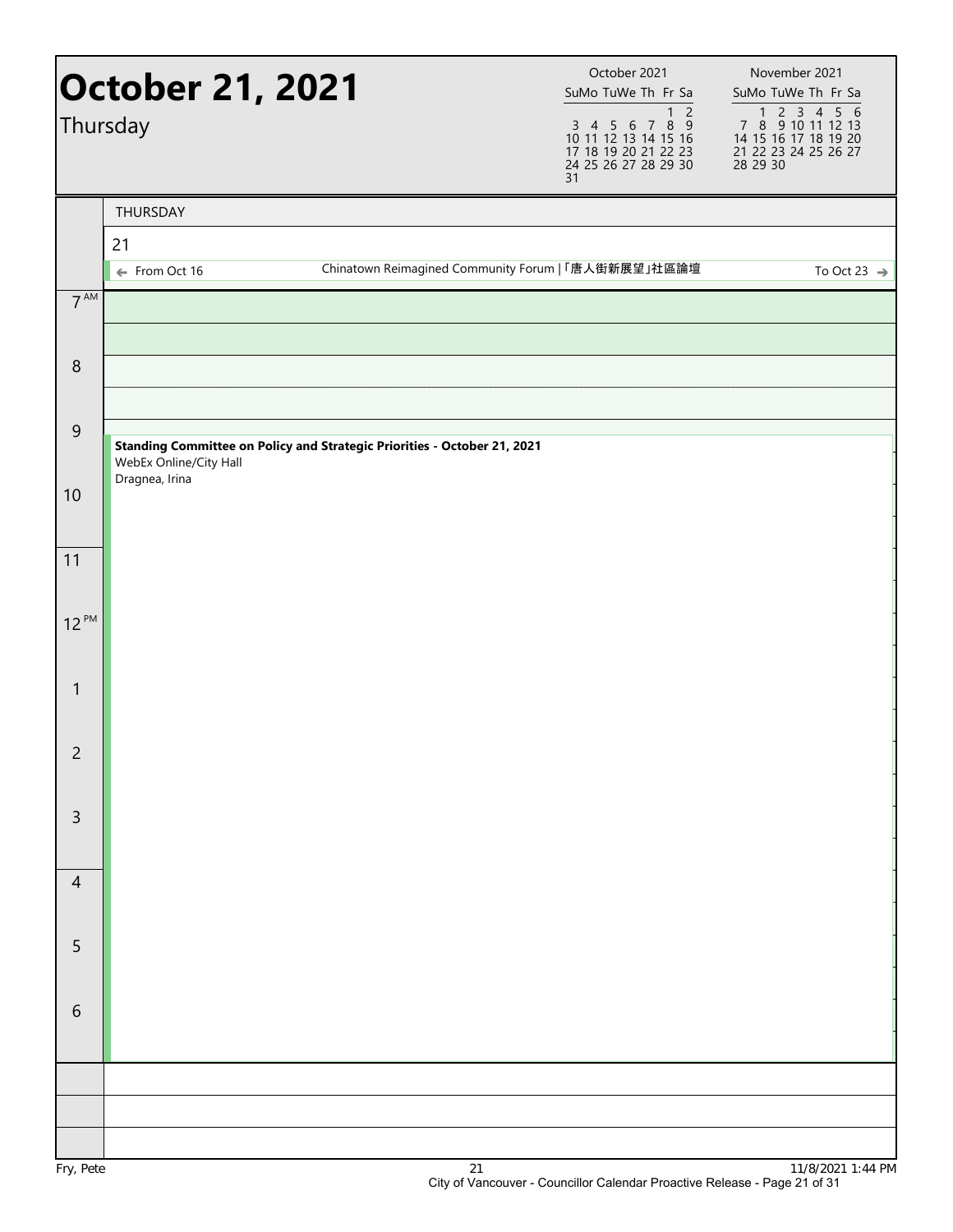|                 | <b>October 21, 2021</b><br>Thursday      |                                                                          | October 2021<br>SuMo TuWe Th Fr Sa<br>$\overline{2}$<br>$\mathbf{1}$<br>3 4 5 6 7 8 9<br>10 11 12 13 14 15 16<br>17 18 19 20 21 22 23<br>24 25 26 27 28 29 30<br>31 | November 2021<br>SuMo TuWe Th Fr Sa<br>1 2 3 4 5 6<br>7 8 9 10 11 12 13<br>14 15 16 17 18 19 20<br>21 22 23 24 25 26 27<br>28 29 30 |
|-----------------|------------------------------------------|--------------------------------------------------------------------------|---------------------------------------------------------------------------------------------------------------------------------------------------------------------|-------------------------------------------------------------------------------------------------------------------------------------|
|                 | THURSDAY<br>21                           |                                                                          |                                                                                                                                                                     |                                                                                                                                     |
|                 | ← From Oct 16                            | Chinatown Reimagined Community Forum   「唐人街新展望」社區論壇                      |                                                                                                                                                                     | To Oct 23 $\Rightarrow$                                                                                                             |
| $7^{\text{AM}}$ |                                          |                                                                          |                                                                                                                                                                     |                                                                                                                                     |
| $\,8\,$         |                                          |                                                                          |                                                                                                                                                                     |                                                                                                                                     |
|                 |                                          |                                                                          |                                                                                                                                                                     |                                                                                                                                     |
| $\overline{9}$  | WebEx Online/City Hall<br>Dragnea, Irina | Standing Committee on Policy and Strategic Priorities - October 21, 2021 |                                                                                                                                                                     |                                                                                                                                     |
| 10              |                                          |                                                                          |                                                                                                                                                                     |                                                                                                                                     |
| 11              |                                          |                                                                          |                                                                                                                                                                     |                                                                                                                                     |
| $12^{PM}$       |                                          |                                                                          |                                                                                                                                                                     |                                                                                                                                     |
|                 |                                          |                                                                          |                                                                                                                                                                     |                                                                                                                                     |
| $\mathbf{1}$    |                                          |                                                                          |                                                                                                                                                                     |                                                                                                                                     |
| $\overline{2}$  |                                          |                                                                          |                                                                                                                                                                     |                                                                                                                                     |
| $\mathsf 3$     |                                          |                                                                          |                                                                                                                                                                     |                                                                                                                                     |
|                 |                                          |                                                                          |                                                                                                                                                                     |                                                                                                                                     |
| $\overline{4}$  |                                          |                                                                          |                                                                                                                                                                     |                                                                                                                                     |
| $\sqrt{5}$      |                                          |                                                                          |                                                                                                                                                                     |                                                                                                                                     |
|                 |                                          |                                                                          |                                                                                                                                                                     |                                                                                                                                     |
| $\sqrt{6}$      |                                          |                                                                          |                                                                                                                                                                     |                                                                                                                                     |
|                 |                                          |                                                                          |                                                                                                                                                                     |                                                                                                                                     |
|                 |                                          |                                                                          |                                                                                                                                                                     |                                                                                                                                     |
|                 |                                          |                                                                          |                                                                                                                                                                     |                                                                                                                                     |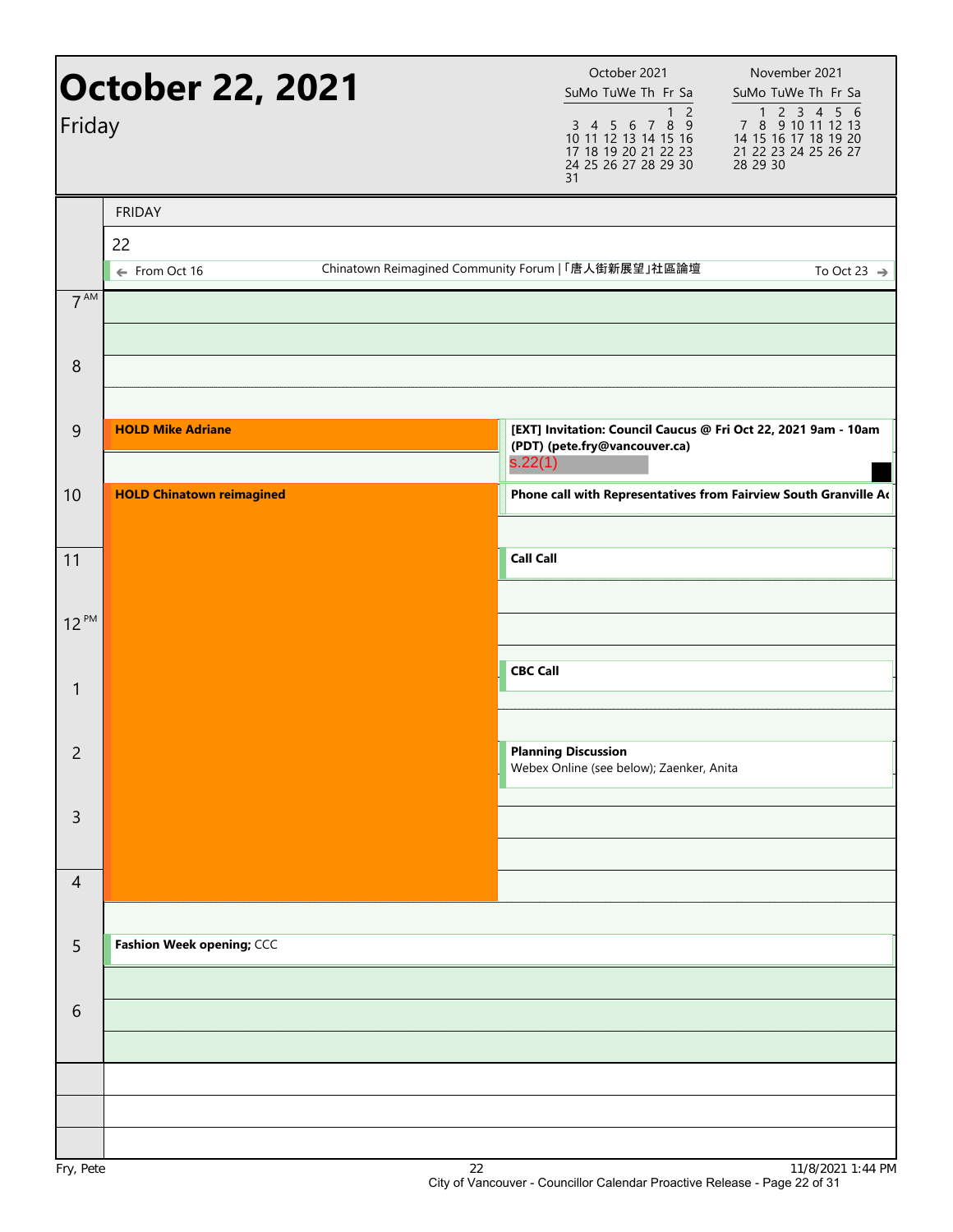| Friday          | <b>October 22, 2021</b>          |                                                     |                  | October 2021<br>SuMo TuWe Th Fr Sa<br>1 <sub>2</sub><br>3 4 5 6 7 8 9<br>10 11 12 13 14 15 16<br>17 18 19 20 21 22 23<br>24 25 26 27 28 29 30<br>31 | November 2021<br>SuMo TuWe Th Fr Sa<br>7 8 9 10 11 12 13<br>14 15 16 17 18 19 20<br>21 22 23 24 25 26 27<br>28 29 30 |
|-----------------|----------------------------------|-----------------------------------------------------|------------------|-----------------------------------------------------------------------------------------------------------------------------------------------------|----------------------------------------------------------------------------------------------------------------------|
|                 | <b>FRIDAY</b>                    |                                                     |                  |                                                                                                                                                     |                                                                                                                      |
|                 | 22<br>← From Oct 16              | Chinatown Reimagined Community Forum   「唐人街新展望」社區論壇 |                  |                                                                                                                                                     | To Oct 23 $\rightarrow$                                                                                              |
| 7 <sup>AM</sup> |                                  |                                                     |                  |                                                                                                                                                     |                                                                                                                      |
| $\,8\,$         |                                  |                                                     |                  |                                                                                                                                                     |                                                                                                                      |
| 9               | <b>HOLD Mike Adriane</b>         |                                                     | s.22(1)          | (PDT) (pete.fry@vancouver.ca)                                                                                                                       | [EXT] Invitation: Council Caucus @ Fri Oct 22, 2021 9am - 10am                                                       |
| 10              | <b>HOLD Chinatown reimagined</b> |                                                     |                  |                                                                                                                                                     | Phone call with Representatives from Fairview South Granville Ad                                                     |
| 11              |                                  |                                                     | <b>Call Call</b> |                                                                                                                                                     |                                                                                                                      |
| $12^{PM}$       |                                  |                                                     |                  |                                                                                                                                                     |                                                                                                                      |
| $\mathbf{1}$    |                                  |                                                     | <b>CBC Call</b>  |                                                                                                                                                     |                                                                                                                      |
| $\overline{c}$  |                                  |                                                     |                  | <b>Planning Discussion</b><br>Webex Online (see below); Zaenker, Anita                                                                              |                                                                                                                      |
| 3               |                                  |                                                     |                  |                                                                                                                                                     |                                                                                                                      |
| $\overline{4}$  |                                  |                                                     |                  |                                                                                                                                                     |                                                                                                                      |
| 5               | Fashion Week opening; CCC        |                                                     |                  |                                                                                                                                                     |                                                                                                                      |
| 6               |                                  |                                                     |                  |                                                                                                                                                     |                                                                                                                      |
|                 |                                  |                                                     |                  |                                                                                                                                                     |                                                                                                                      |
|                 |                                  | $\sim$                                              |                  |                                                                                                                                                     | 111010001                                                                                                            |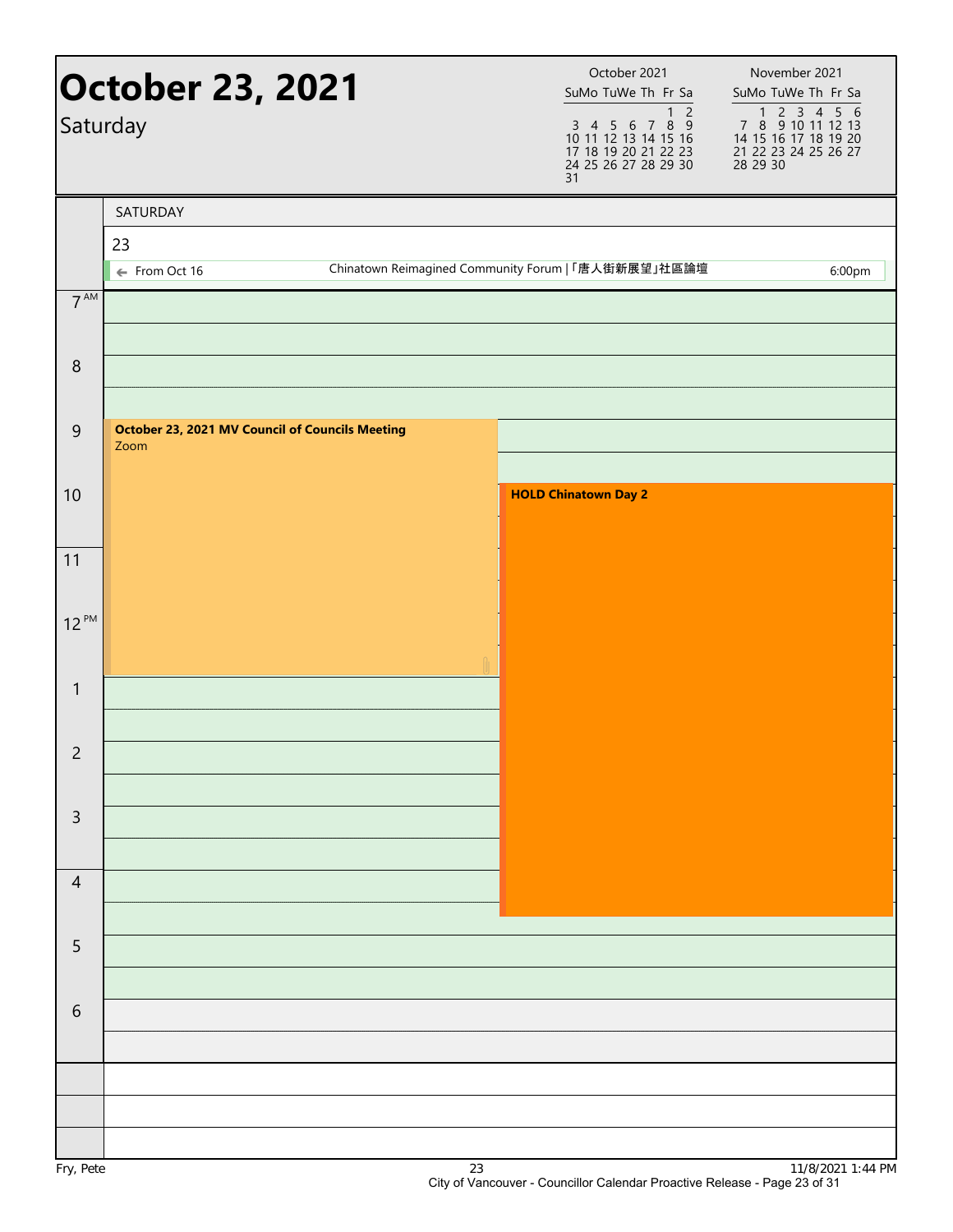|                 | <b>October 23, 2021</b><br>Saturday                            |  | October 2021<br>SuMo TuWe Th Fr Sa<br>$\overline{2}$<br>$\mathbf{1}$<br>3 4 5 6 7 8 9<br>10 11 12 13 14 15 16<br>17 18 19 20 21 22 23<br>24 25 26 27 28 29 30<br>31 | November 2021<br>SuMo TuWe Th Fr Sa<br>1 2 3 4 5 6<br>7 8 9 10 11 12 13<br>14 15 16 17 18 19 20<br>21 22 23 24 25 26 27<br>28 29 30 |
|-----------------|----------------------------------------------------------------|--|---------------------------------------------------------------------------------------------------------------------------------------------------------------------|-------------------------------------------------------------------------------------------------------------------------------------|
|                 | SATURDAY                                                       |  |                                                                                                                                                                     |                                                                                                                                     |
|                 | 23<br>← From Oct 16                                            |  | Chinatown Reimagined Community Forum   「唐人街新展望」社區論壇                                                                                                                 | 6:00pm                                                                                                                              |
| $7^{\text{AM}}$ |                                                                |  |                                                                                                                                                                     |                                                                                                                                     |
|                 |                                                                |  |                                                                                                                                                                     |                                                                                                                                     |
| $\, 8$          |                                                                |  |                                                                                                                                                                     |                                                                                                                                     |
|                 |                                                                |  |                                                                                                                                                                     |                                                                                                                                     |
| $\mathsf 9$     | <b>October 23, 2021 MV Council of Councils Meeting</b><br>Zoom |  |                                                                                                                                                                     |                                                                                                                                     |
| 10              |                                                                |  | <b>HOLD Chinatown Day 2</b>                                                                                                                                         |                                                                                                                                     |
|                 |                                                                |  |                                                                                                                                                                     |                                                                                                                                     |
| 11              |                                                                |  |                                                                                                                                                                     |                                                                                                                                     |
|                 |                                                                |  |                                                                                                                                                                     |                                                                                                                                     |
| $12^{PM}$       |                                                                |  |                                                                                                                                                                     |                                                                                                                                     |
|                 |                                                                |  |                                                                                                                                                                     |                                                                                                                                     |
| $\mathbf{1}$    |                                                                |  |                                                                                                                                                                     |                                                                                                                                     |
| $\overline{2}$  |                                                                |  |                                                                                                                                                                     |                                                                                                                                     |
|                 |                                                                |  |                                                                                                                                                                     |                                                                                                                                     |
| $\mathsf{3}$    |                                                                |  |                                                                                                                                                                     |                                                                                                                                     |
|                 |                                                                |  |                                                                                                                                                                     |                                                                                                                                     |
| $\overline{4}$  |                                                                |  |                                                                                                                                                                     |                                                                                                                                     |
|                 |                                                                |  |                                                                                                                                                                     |                                                                                                                                     |
| 5               |                                                                |  |                                                                                                                                                                     |                                                                                                                                     |
| $\sqrt{6}$      |                                                                |  |                                                                                                                                                                     |                                                                                                                                     |
|                 |                                                                |  |                                                                                                                                                                     |                                                                                                                                     |
|                 |                                                                |  |                                                                                                                                                                     |                                                                                                                                     |
|                 |                                                                |  |                                                                                                                                                                     |                                                                                                                                     |
|                 |                                                                |  |                                                                                                                                                                     |                                                                                                                                     |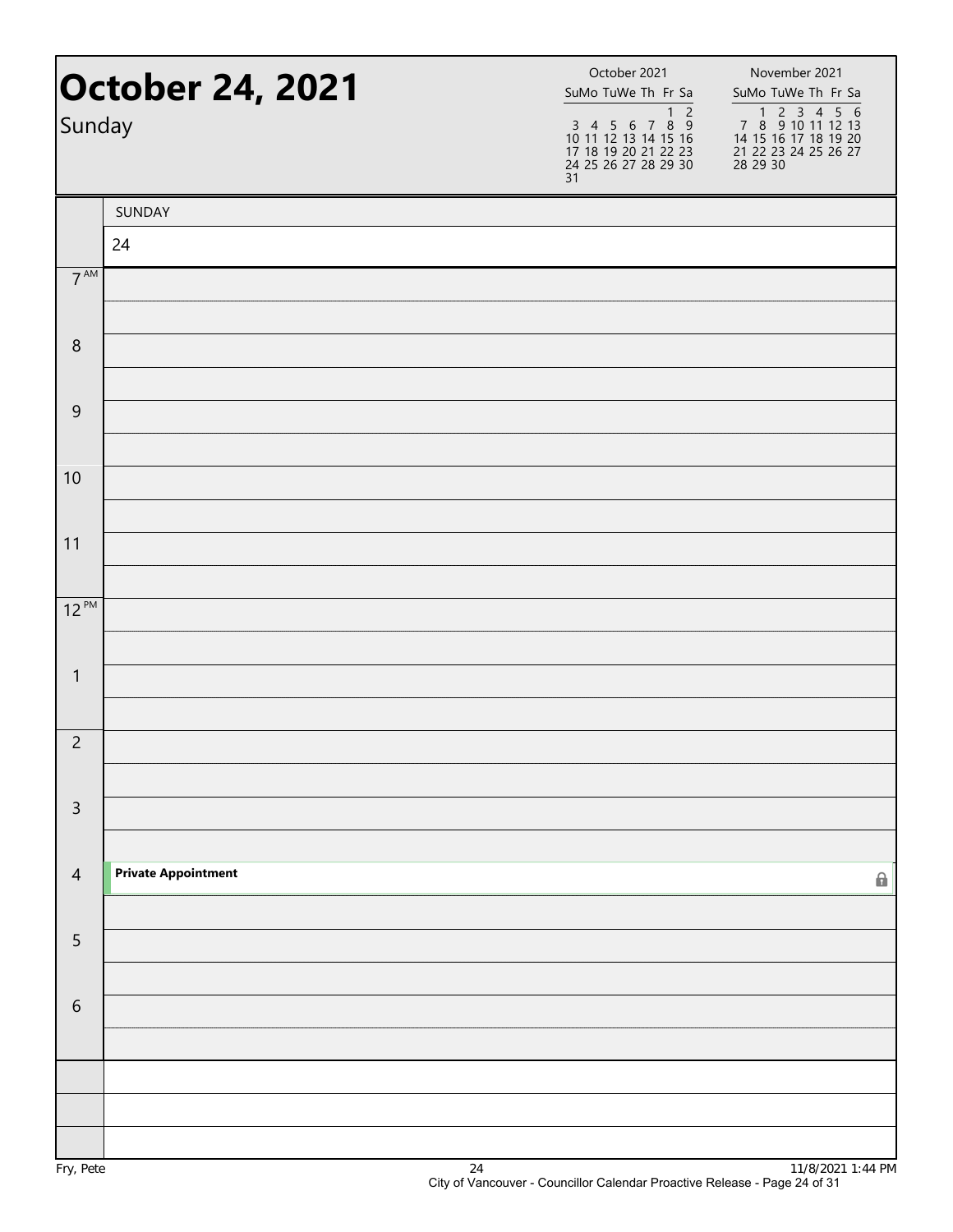| Sunday          | <b>October 24, 2021</b>    | October 2021<br>SuMo TuWe Th Fr Sa<br>$\overline{2}$<br>$\mathbf{1}$<br>$3$ 4 5 6 7 8 9<br>10 11 12 13 14 15 16<br>17 18 19 20 21 22 23<br>24 25 26 27 28 29 30<br>31 | November 2021<br>SuMo TuWe Th Fr Sa<br>1 2 3 4 5 6<br>7 8 9 10 11 12 13<br>14 15 16 17 18 19 20<br>21 22 23 24 25 26 27<br>28 29 30 |  |
|-----------------|----------------------------|-----------------------------------------------------------------------------------------------------------------------------------------------------------------------|-------------------------------------------------------------------------------------------------------------------------------------|--|
|                 | SUNDAY                     |                                                                                                                                                                       |                                                                                                                                     |  |
|                 | 24                         |                                                                                                                                                                       |                                                                                                                                     |  |
| $7^{\text{AM}}$ |                            |                                                                                                                                                                       |                                                                                                                                     |  |
| 8               |                            |                                                                                                                                                                       |                                                                                                                                     |  |
|                 |                            |                                                                                                                                                                       |                                                                                                                                     |  |
| $\mathsf 9$     |                            |                                                                                                                                                                       |                                                                                                                                     |  |
| 10              |                            |                                                                                                                                                                       |                                                                                                                                     |  |
|                 |                            |                                                                                                                                                                       |                                                                                                                                     |  |
| 11              |                            |                                                                                                                                                                       |                                                                                                                                     |  |
| $12^{PM}$       |                            |                                                                                                                                                                       |                                                                                                                                     |  |
| $\mathbf{1}$    |                            |                                                                                                                                                                       |                                                                                                                                     |  |
|                 |                            |                                                                                                                                                                       |                                                                                                                                     |  |
| $\overline{c}$  |                            |                                                                                                                                                                       |                                                                                                                                     |  |
| $\overline{3}$  |                            |                                                                                                                                                                       |                                                                                                                                     |  |
| $\overline{4}$  | <b>Private Appointment</b> |                                                                                                                                                                       | 0                                                                                                                                   |  |
|                 |                            |                                                                                                                                                                       |                                                                                                                                     |  |
| 5               |                            |                                                                                                                                                                       |                                                                                                                                     |  |
| $\sqrt{6}$      |                            |                                                                                                                                                                       |                                                                                                                                     |  |
|                 |                            |                                                                                                                                                                       |                                                                                                                                     |  |
|                 |                            |                                                                                                                                                                       |                                                                                                                                     |  |
|                 |                            |                                                                                                                                                                       |                                                                                                                                     |  |
|                 |                            |                                                                                                                                                                       |                                                                                                                                     |  |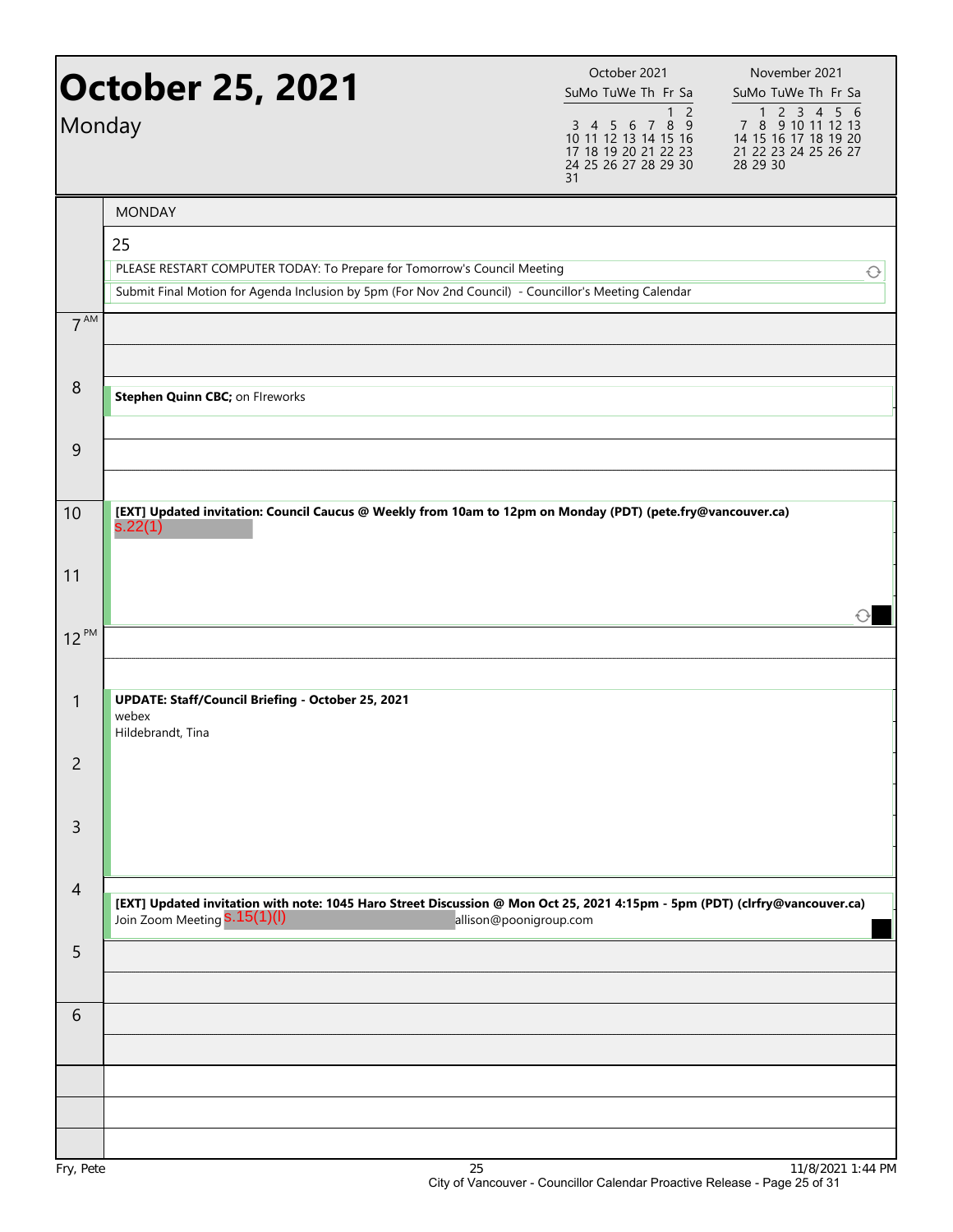| <b>October 25, 2021</b><br>Monday |                                                                                                                                                                                         | October 2021<br>SuMo TuWe Th Fr Sa<br>$\overline{c}$<br>$\mathbf{1}$<br>3 4 5 6 7 8 9<br>10 11 12 13 14 15 16<br>17 18 19 20 21 22 23<br>24 25 26 27 28 29 30<br>31 | November 2021<br>SuMo TuWe Th Fr Sa<br>1 2 3 4 5 6<br>7 8 9 10 11 12 13<br>14 15 16 17 18 19 20<br>21 22 23 24 25 26 27<br>28 29 30 |
|-----------------------------------|-----------------------------------------------------------------------------------------------------------------------------------------------------------------------------------------|---------------------------------------------------------------------------------------------------------------------------------------------------------------------|-------------------------------------------------------------------------------------------------------------------------------------|
|                                   | <b>MONDAY</b>                                                                                                                                                                           |                                                                                                                                                                     |                                                                                                                                     |
|                                   | 25<br>PLEASE RESTART COMPUTER TODAY: To Prepare for Tomorrow's Council Meeting<br>Submit Final Motion for Agenda Inclusion by 5pm (For Nov 2nd Council) - Councillor's Meeting Calendar |                                                                                                                                                                     | ↩                                                                                                                                   |
| 7 <sup>AM</sup>                   |                                                                                                                                                                                         |                                                                                                                                                                     |                                                                                                                                     |
| 8                                 | Stephen Quinn CBC; on Flreworks                                                                                                                                                         |                                                                                                                                                                     |                                                                                                                                     |
| 9                                 |                                                                                                                                                                                         |                                                                                                                                                                     |                                                                                                                                     |
| 10                                | [EXT] Updated invitation: Council Caucus @ Weekly from 10am to 12pm on Monday (PDT) (pete.fry@vancouver.ca)<br>s.22(1)                                                                  |                                                                                                                                                                     |                                                                                                                                     |
| 11                                |                                                                                                                                                                                         |                                                                                                                                                                     |                                                                                                                                     |
| $12^{PM}$                         |                                                                                                                                                                                         |                                                                                                                                                                     |                                                                                                                                     |
| $\mathbf{1}$                      | <b>UPDATE: Staff/Council Briefing - October 25, 2021</b><br>webex<br>Hildebrandt, Tina                                                                                                  |                                                                                                                                                                     |                                                                                                                                     |
| $\overline{2}$                    |                                                                                                                                                                                         |                                                                                                                                                                     |                                                                                                                                     |
| 3                                 |                                                                                                                                                                                         |                                                                                                                                                                     |                                                                                                                                     |
| $\overline{4}$                    | [EXT] Updated invitation with note: 1045 Haro Street Discussion @ Mon Oct 25, 2021 4:15pm - 5pm (PDT) (clrfry@vancouver.ca)<br>Join Zoom Meeting S.15(1)(I)                             | allison@poonigroup.com                                                                                                                                              |                                                                                                                                     |
| 5                                 |                                                                                                                                                                                         |                                                                                                                                                                     |                                                                                                                                     |
| 6                                 |                                                                                                                                                                                         |                                                                                                                                                                     |                                                                                                                                     |
|                                   |                                                                                                                                                                                         |                                                                                                                                                                     |                                                                                                                                     |
| Fry, Pete                         | 25                                                                                                                                                                                      |                                                                                                                                                                     | 11/8/2021 1:44 PM                                                                                                                   |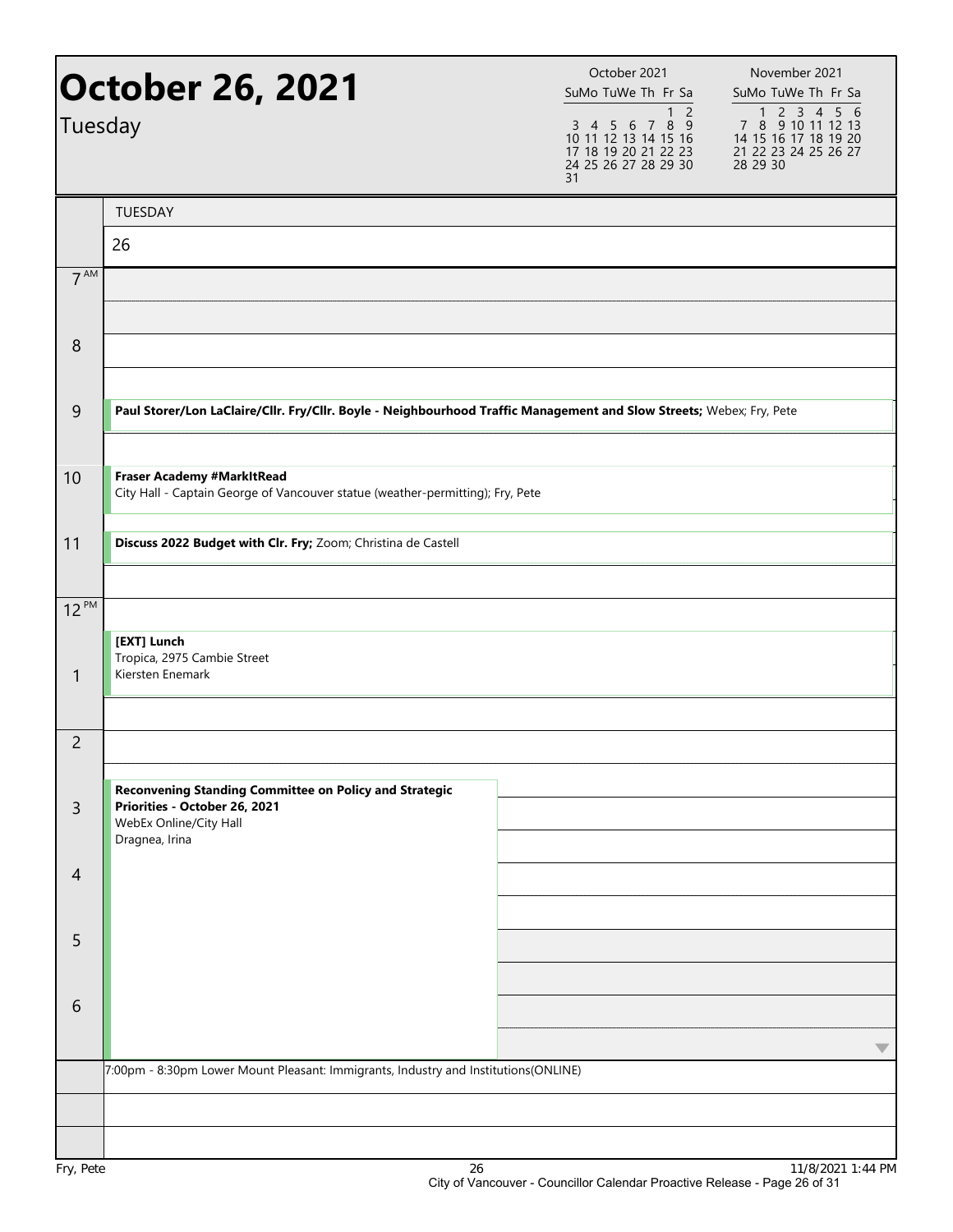| October 26, 2021<br>Tuesday |                                                                                                                      | October 2021<br>SuMo TuWe Th Fr Sa<br>$\overline{c}$<br>1<br>$3$ 4 5 6 7 8 9<br>10 11 12 13 14 15 16<br>17 18 19 20 21 22 23<br>24 25 26 27 28 29 30<br>31 | November 2021<br>SuMo TuWe Th Fr Sa<br>7 8 9 10 11 12 13<br>14 15 16 17 18 19 20<br>21 22 23 24 25 26 27<br>28 29 30 |
|-----------------------------|----------------------------------------------------------------------------------------------------------------------|------------------------------------------------------------------------------------------------------------------------------------------------------------|----------------------------------------------------------------------------------------------------------------------|
|                             | <b>TUESDAY</b>                                                                                                       |                                                                                                                                                            |                                                                                                                      |
|                             | 26                                                                                                                   |                                                                                                                                                            |                                                                                                                      |
| 7 <sup>AM</sup>             |                                                                                                                      |                                                                                                                                                            |                                                                                                                      |
|                             |                                                                                                                      |                                                                                                                                                            |                                                                                                                      |
| 8                           |                                                                                                                      |                                                                                                                                                            |                                                                                                                      |
|                             |                                                                                                                      |                                                                                                                                                            |                                                                                                                      |
| 9                           | Paul Storer/Lon LaClaire/Cllr. Fry/Cllr. Boyle - Neighbourhood Traffic Management and Slow Streets; Webex; Fry, Pete |                                                                                                                                                            |                                                                                                                      |
| 10                          | Fraser Academy #MarkItRead<br>City Hall - Captain George of Vancouver statue (weather-permitting); Fry, Pete         |                                                                                                                                                            |                                                                                                                      |
|                             |                                                                                                                      |                                                                                                                                                            |                                                                                                                      |
| 11                          | Discuss 2022 Budget with Clr. Fry; Zoom; Christina de Castell                                                        |                                                                                                                                                            |                                                                                                                      |
| $12^{PM}$                   |                                                                                                                      |                                                                                                                                                            |                                                                                                                      |
|                             | [EXT] Lunch                                                                                                          |                                                                                                                                                            |                                                                                                                      |
| $\mathbf{1}$                | Tropica, 2975 Cambie Street<br>Kiersten Enemark                                                                      |                                                                                                                                                            |                                                                                                                      |
|                             |                                                                                                                      |                                                                                                                                                            |                                                                                                                      |
| 2                           |                                                                                                                      |                                                                                                                                                            |                                                                                                                      |
|                             | Reconvening Standing Committee on Policy and Strategic                                                               |                                                                                                                                                            |                                                                                                                      |
| $\overline{3}$              | Priorities - October 26, 2021<br>WebEx Online/City Hall<br>Dragnea, Irina                                            |                                                                                                                                                            |                                                                                                                      |
| $\overline{4}$              |                                                                                                                      |                                                                                                                                                            |                                                                                                                      |
|                             |                                                                                                                      |                                                                                                                                                            |                                                                                                                      |
| 5                           |                                                                                                                      |                                                                                                                                                            |                                                                                                                      |
|                             |                                                                                                                      |                                                                                                                                                            |                                                                                                                      |
| 6                           |                                                                                                                      |                                                                                                                                                            |                                                                                                                      |
|                             |                                                                                                                      |                                                                                                                                                            |                                                                                                                      |
|                             | 7:00pm - 8:30pm Lower Mount Pleasant: Immigrants, Industry and Institutions(ONLINE)                                  |                                                                                                                                                            |                                                                                                                      |
|                             |                                                                                                                      |                                                                                                                                                            |                                                                                                                      |
|                             |                                                                                                                      |                                                                                                                                                            |                                                                                                                      |
| Fry, Pete                   | 26                                                                                                                   |                                                                                                                                                            | 11/8/2021 1:44 PM                                                                                                    |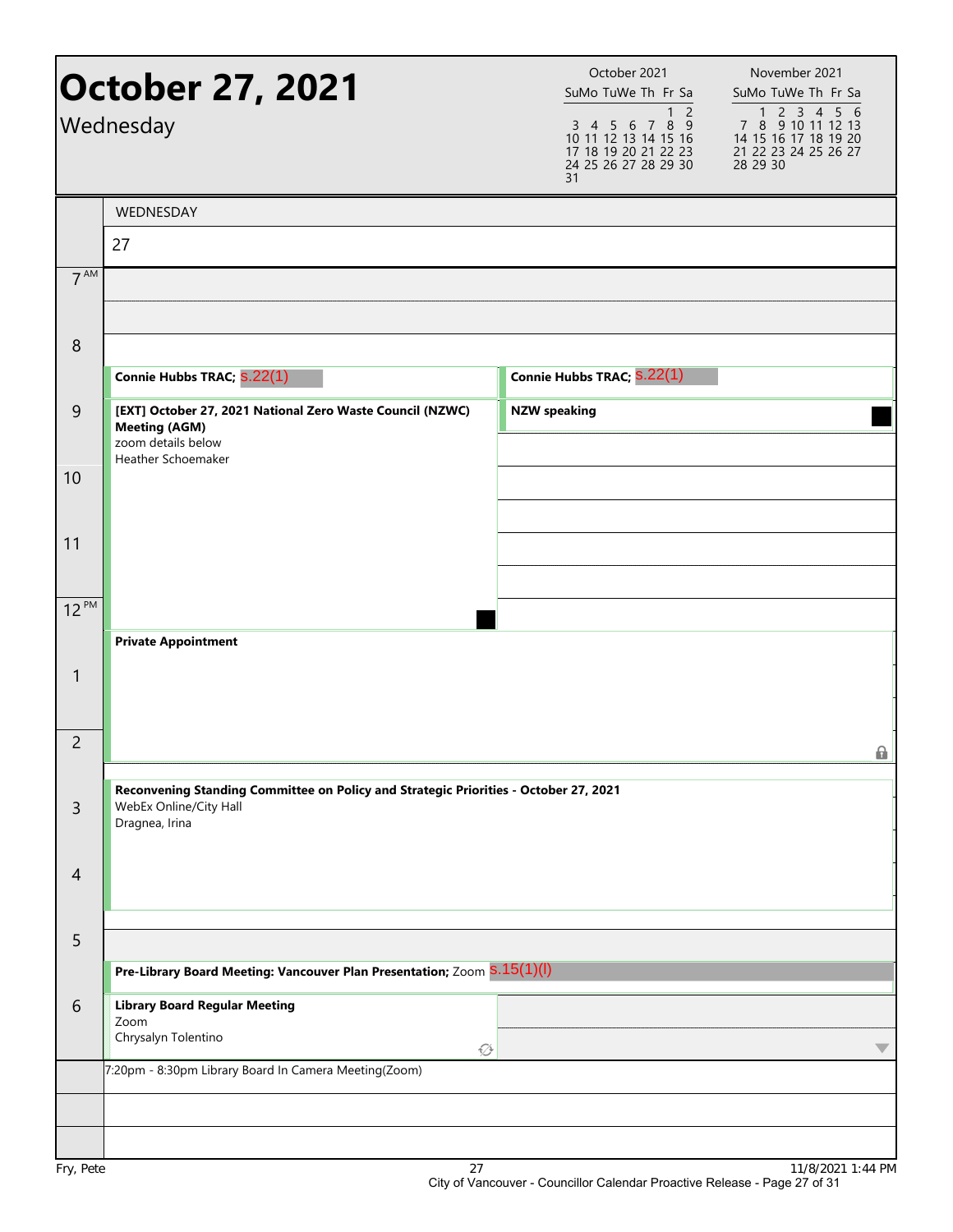|                  | October 27, 2021<br>Wednesday                                                                                                 | October 2021<br>SuMo TuWe Th Fr Sa<br>$\overline{2}$<br>1<br>3 4 5 6 7 8 9<br>10 11 12 13 14 15 16<br>17 18 19 20 21 22 23<br>24 25 26 27 28 29 30<br>31 | November 2021<br>SuMo TuWe Th Fr Sa<br>7 8 9 10 11 12 13<br>14 15 16 17 18 19 20<br>21 22 23 24 25 26 27<br>28 29 30 |
|------------------|-------------------------------------------------------------------------------------------------------------------------------|----------------------------------------------------------------------------------------------------------------------------------------------------------|----------------------------------------------------------------------------------------------------------------------|
|                  | WEDNESDAY                                                                                                                     |                                                                                                                                                          |                                                                                                                      |
|                  | 27                                                                                                                            |                                                                                                                                                          |                                                                                                                      |
| $7^{\text{AM}}$  |                                                                                                                               |                                                                                                                                                          |                                                                                                                      |
| $\boldsymbol{8}$ |                                                                                                                               |                                                                                                                                                          |                                                                                                                      |
|                  | Connie Hubbs TRAC; S.22(1)                                                                                                    | Connie Hubbs TRAC; S.22(1)                                                                                                                               |                                                                                                                      |
| 9                | [EXT] October 27, 2021 National Zero Waste Council (NZWC)<br><b>Meeting (AGM)</b><br>zoom details below<br>Heather Schoemaker | <b>NZW speaking</b>                                                                                                                                      |                                                                                                                      |
| 10               |                                                                                                                               |                                                                                                                                                          |                                                                                                                      |
| 11               |                                                                                                                               |                                                                                                                                                          |                                                                                                                      |
| $12^{PM}$        |                                                                                                                               |                                                                                                                                                          |                                                                                                                      |
|                  | <b>Private Appointment</b>                                                                                                    |                                                                                                                                                          |                                                                                                                      |
| $\mathbf{1}$     |                                                                                                                               |                                                                                                                                                          |                                                                                                                      |
| $\overline{2}$   |                                                                                                                               |                                                                                                                                                          | 0                                                                                                                    |
|                  | Reconvening Standing Committee on Policy and Strategic Priorities - October 27, 2021                                          |                                                                                                                                                          |                                                                                                                      |
| $\overline{3}$   | WebEx Online/City Hall<br>Dragnea, Irina                                                                                      |                                                                                                                                                          |                                                                                                                      |
| $\overline{4}$   |                                                                                                                               |                                                                                                                                                          |                                                                                                                      |
| 5                |                                                                                                                               |                                                                                                                                                          |                                                                                                                      |
|                  | Pre-Library Board Meeting: Vancouver Plan Presentation; Zoom S.15(1)(l)                                                       |                                                                                                                                                          |                                                                                                                      |
| 6                | <b>Library Board Regular Meeting</b><br>Zoom<br>Chrysalyn Tolentino<br>♦                                                      |                                                                                                                                                          | $\overline{\phantom{a}}$                                                                                             |
|                  | 7:20pm - 8:30pm Library Board In Camera Meeting(Zoom)                                                                         |                                                                                                                                                          |                                                                                                                      |
|                  |                                                                                                                               |                                                                                                                                                          |                                                                                                                      |
| Fry, Pete        | 27                                                                                                                            |                                                                                                                                                          | 11/8/2021 1:44 PM                                                                                                    |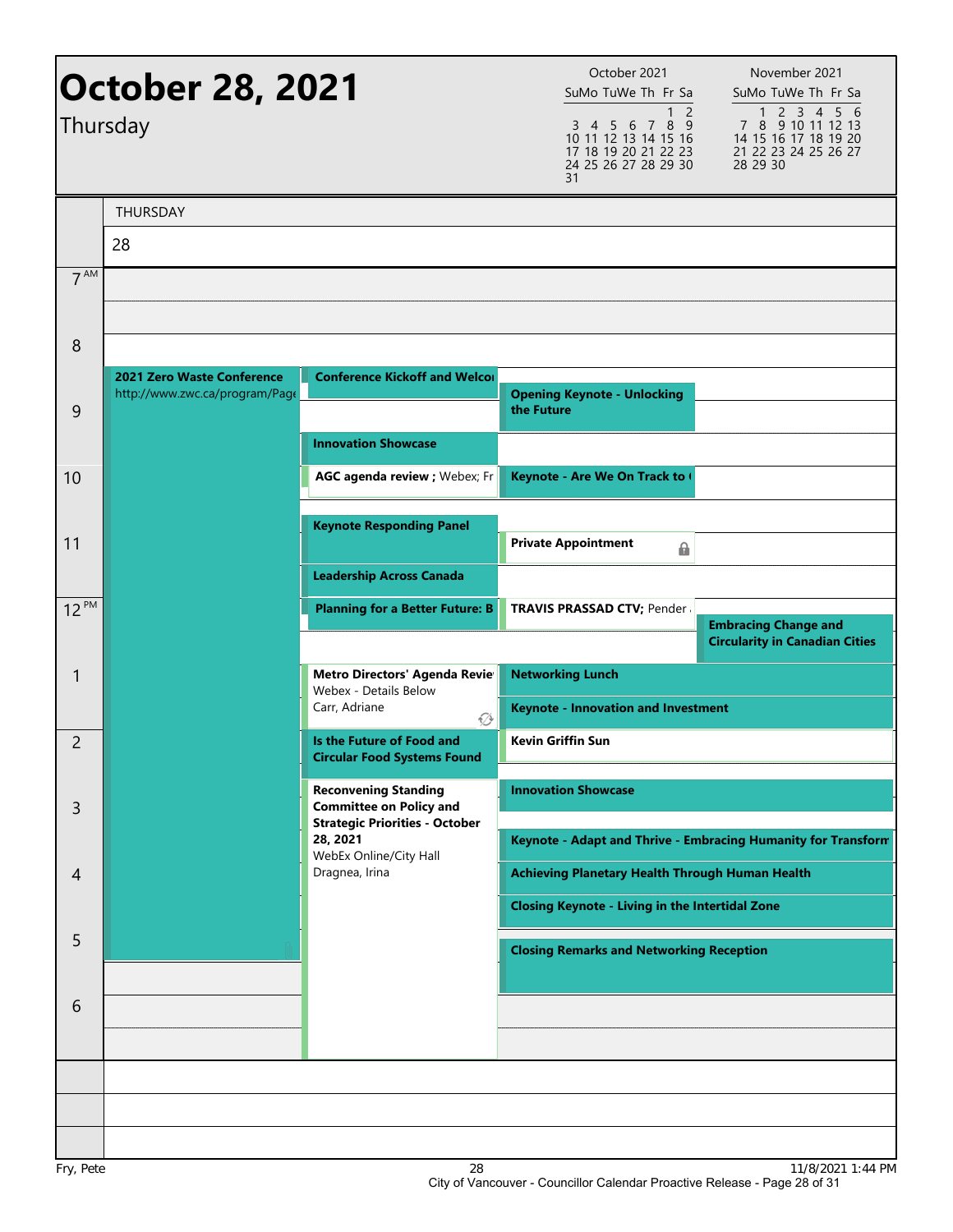| <b>October 28, 2021</b><br>Thursday |                                                              | October 2021<br>SuMo TuWe Th Fr Sa<br>$\overline{2}$<br>$\mathbf{1}$<br>3 4 5 6 7 8 9<br>10 11 12 13 14 15 16<br>17 18 19 20 21 22 23<br>24 25 26 27 28 29 30<br>31 | November 2021<br>SuMo TuWe Th Fr Sa<br>1 2 3 4 5 6<br>7 8 9 10 11 12 13<br>14 15 16 17 18 19 20<br>21 22 23 24 25 26 27<br>28 29 30 |                                                                      |
|-------------------------------------|--------------------------------------------------------------|---------------------------------------------------------------------------------------------------------------------------------------------------------------------|-------------------------------------------------------------------------------------------------------------------------------------|----------------------------------------------------------------------|
|                                     | <b>THURSDAY</b>                                              |                                                                                                                                                                     |                                                                                                                                     |                                                                      |
|                                     | 28                                                           |                                                                                                                                                                     |                                                                                                                                     |                                                                      |
| 7 <sup>AM</sup>                     |                                                              |                                                                                                                                                                     |                                                                                                                                     |                                                                      |
|                                     |                                                              |                                                                                                                                                                     |                                                                                                                                     |                                                                      |
| 8                                   |                                                              |                                                                                                                                                                     |                                                                                                                                     |                                                                      |
| 9                                   | 2021 Zero Waste Conference<br>http://www.zwc.ca/program/Page | <b>Conference Kickoff and Welcor</b>                                                                                                                                | <b>Opening Keynote - Unlocking</b><br>the Future                                                                                    |                                                                      |
|                                     |                                                              | <b>Innovation Showcase</b>                                                                                                                                          |                                                                                                                                     |                                                                      |
| 10                                  |                                                              | AGC agenda review ; Webex; Fr                                                                                                                                       | Keynote - Are We On Track to (                                                                                                      |                                                                      |
|                                     |                                                              |                                                                                                                                                                     |                                                                                                                                     |                                                                      |
| 11                                  |                                                              | <b>Keynote Responding Panel</b>                                                                                                                                     | <b>Private Appointment</b><br>⋒                                                                                                     |                                                                      |
|                                     |                                                              | <b>Leadership Across Canada</b>                                                                                                                                     |                                                                                                                                     |                                                                      |
| $12^{PM}$                           |                                                              | <b>Planning for a Better Future: B</b>                                                                                                                              | <b>TRAVIS PRASSAD CTV; Pender:</b>                                                                                                  |                                                                      |
|                                     |                                                              |                                                                                                                                                                     |                                                                                                                                     | <b>Embracing Change and</b><br><b>Circularity in Canadian Cities</b> |
| 1                                   |                                                              | <b>Metro Directors' Agenda Revie</b><br>Webex - Details Below                                                                                                       | <b>Networking Lunch</b>                                                                                                             |                                                                      |
|                                     |                                                              | Carr, Adriane<br>∅                                                                                                                                                  | <b>Keynote - Innovation and Investment</b>                                                                                          |                                                                      |
| 2                                   |                                                              | Is the Future of Food and<br><b>Circular Food Systems Found</b>                                                                                                     | <b>Kevin Griffin Sun</b>                                                                                                            |                                                                      |
|                                     |                                                              | <b>Reconvening Standing</b>                                                                                                                                         | <b>Innovation Showcase</b>                                                                                                          |                                                                      |
| 3                                   |                                                              | <b>Committee on Policy and</b><br><b>Strategic Priorities - October</b>                                                                                             |                                                                                                                                     |                                                                      |
|                                     |                                                              | 28, 2021<br>WebEx Online/City Hall<br>Dragnea, Irina                                                                                                                |                                                                                                                                     | Keynote - Adapt and Thrive - Embracing Humanity for Transform        |
| 4                                   |                                                              |                                                                                                                                                                     | <b>Achieving Planetary Health Through Human Health</b>                                                                              |                                                                      |
|                                     |                                                              |                                                                                                                                                                     | <b>Closing Keynote - Living in the Intertidal Zone</b>                                                                              |                                                                      |
| 5                                   |                                                              |                                                                                                                                                                     | <b>Closing Remarks and Networking Reception</b>                                                                                     |                                                                      |
|                                     |                                                              |                                                                                                                                                                     |                                                                                                                                     |                                                                      |
| 6                                   |                                                              |                                                                                                                                                                     |                                                                                                                                     |                                                                      |
|                                     |                                                              |                                                                                                                                                                     |                                                                                                                                     |                                                                      |
|                                     |                                                              |                                                                                                                                                                     |                                                                                                                                     |                                                                      |
|                                     |                                                              |                                                                                                                                                                     |                                                                                                                                     |                                                                      |
|                                     |                                                              | $\sim$                                                                                                                                                              |                                                                                                                                     | 11/0/0001 1:44 DM                                                    |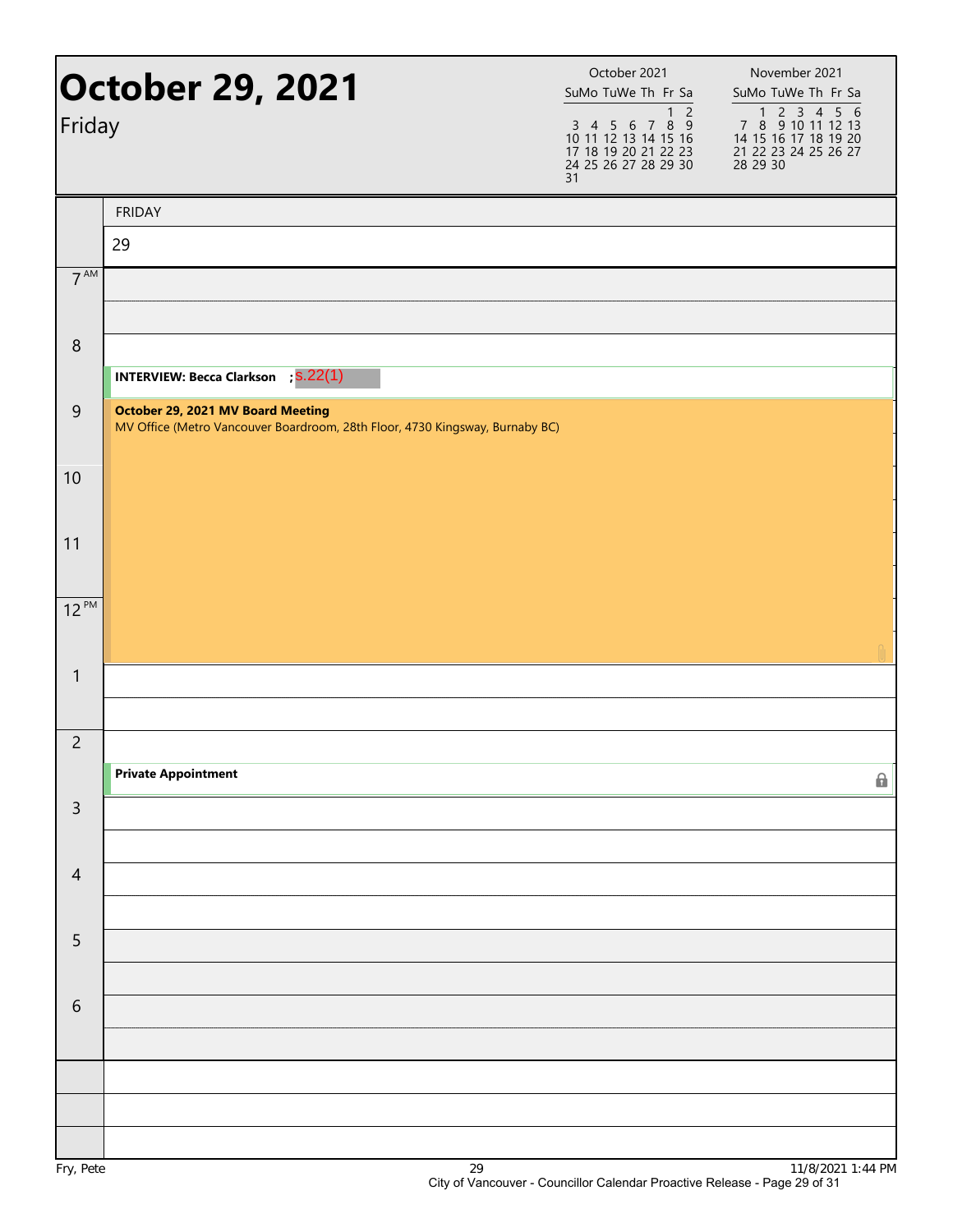| Friday          | <b>October 29, 2021</b>                                                                                           | October 2021<br>SuMo TuWe Th Fr Sa<br>$\overline{c}$<br>$\mathbf{1}$<br>3 4 5 6 7 8 9<br>10 11 12 13 14 15 16<br>17 18 19 20 21 22 23<br>24 25 26 27 28 29 30<br>31 | November 2021<br>SuMo TuWe Th Fr Sa<br>7 8 9 10 11 12 13<br>14 15 16 17 18 19 20<br>21 22 23 24 25 26 27<br>28 29 30 |
|-----------------|-------------------------------------------------------------------------------------------------------------------|---------------------------------------------------------------------------------------------------------------------------------------------------------------------|----------------------------------------------------------------------------------------------------------------------|
|                 | <b>FRIDAY</b>                                                                                                     |                                                                                                                                                                     |                                                                                                                      |
|                 | 29                                                                                                                |                                                                                                                                                                     |                                                                                                                      |
| 7 <sup>AM</sup> |                                                                                                                   |                                                                                                                                                                     |                                                                                                                      |
| $\,8\,$         |                                                                                                                   |                                                                                                                                                                     |                                                                                                                      |
|                 | <b>INTERVIEW: Becca Clarkson</b> ; S.22(1)                                                                        |                                                                                                                                                                     |                                                                                                                      |
| 9               | October 29, 2021 MV Board Meeting<br>MV Office (Metro Vancouver Boardroom, 28th Floor, 4730 Kingsway, Burnaby BC) |                                                                                                                                                                     |                                                                                                                      |
| 10              |                                                                                                                   |                                                                                                                                                                     |                                                                                                                      |
| 11              |                                                                                                                   |                                                                                                                                                                     |                                                                                                                      |
| $12^{PM}$       |                                                                                                                   |                                                                                                                                                                     |                                                                                                                      |
|                 |                                                                                                                   |                                                                                                                                                                     |                                                                                                                      |
| $\mathbf{1}$    |                                                                                                                   |                                                                                                                                                                     |                                                                                                                      |
| $\overline{c}$  |                                                                                                                   |                                                                                                                                                                     |                                                                                                                      |
|                 | <b>Private Appointment</b>                                                                                        |                                                                                                                                                                     | 0                                                                                                                    |
| $\overline{3}$  |                                                                                                                   |                                                                                                                                                                     |                                                                                                                      |
| $\overline{4}$  |                                                                                                                   |                                                                                                                                                                     |                                                                                                                      |
|                 |                                                                                                                   |                                                                                                                                                                     |                                                                                                                      |
| 5               |                                                                                                                   |                                                                                                                                                                     |                                                                                                                      |
|                 |                                                                                                                   |                                                                                                                                                                     |                                                                                                                      |
| 6               |                                                                                                                   |                                                                                                                                                                     |                                                                                                                      |
|                 |                                                                                                                   |                                                                                                                                                                     |                                                                                                                      |
|                 |                                                                                                                   |                                                                                                                                                                     |                                                                                                                      |
|                 |                                                                                                                   |                                                                                                                                                                     |                                                                                                                      |
|                 |                                                                                                                   |                                                                                                                                                                     |                                                                                                                      |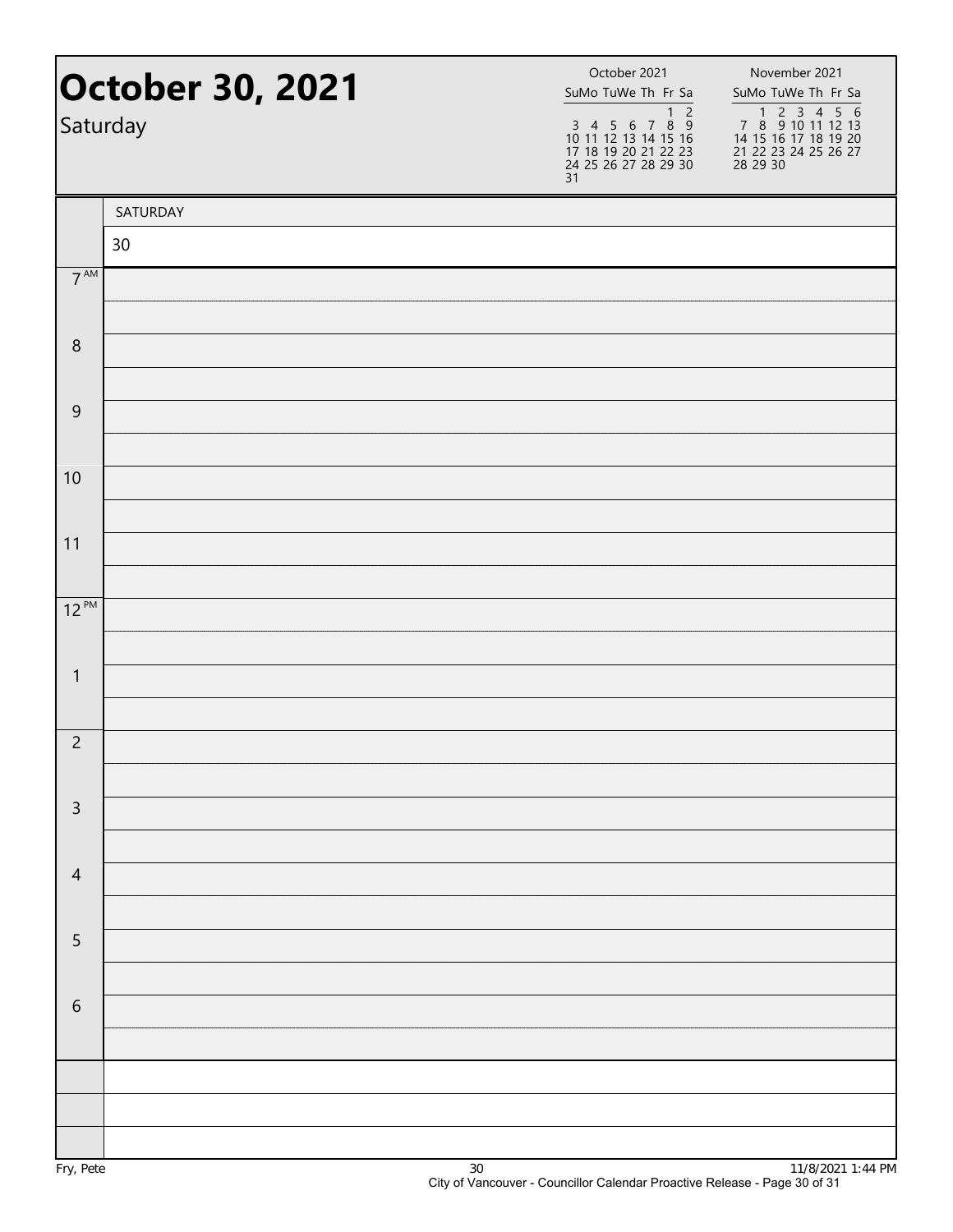| <b>October 30, 2021</b><br>Saturday |          | October 2021<br>SuMo TuWe Th Fr Sa<br>$\overline{2}$<br>$\mathbf{1}$<br>3 4 5 6 7 8 9<br>10 11 12 13 14 15 16<br>17 18 19 20 21 22 23<br>24 25 26 27 28 29 30<br>31 | November 2021<br>SuMo TuWe Th Fr Sa<br>7 8 9 10 11 12 13<br>14 15 16 17 18 19 20<br>21 22 23 24 25 26 27<br>28 29 30 |
|-------------------------------------|----------|---------------------------------------------------------------------------------------------------------------------------------------------------------------------|----------------------------------------------------------------------------------------------------------------------|
|                                     | SATURDAY |                                                                                                                                                                     |                                                                                                                      |
|                                     | 30       |                                                                                                                                                                     |                                                                                                                      |
| $7^{\text{AM}}$                     |          |                                                                                                                                                                     |                                                                                                                      |
| 8                                   |          |                                                                                                                                                                     |                                                                                                                      |
|                                     |          |                                                                                                                                                                     |                                                                                                                      |
| $\mathsf 9$                         |          |                                                                                                                                                                     |                                                                                                                      |
| 10                                  |          |                                                                                                                                                                     |                                                                                                                      |
| 11                                  |          |                                                                                                                                                                     |                                                                                                                      |
|                                     |          |                                                                                                                                                                     |                                                                                                                      |
| $12^{PM}$                           |          |                                                                                                                                                                     |                                                                                                                      |
| $\mathbf{1}$                        |          |                                                                                                                                                                     |                                                                                                                      |
|                                     |          |                                                                                                                                                                     |                                                                                                                      |
| $\overline{c}$                      |          |                                                                                                                                                                     |                                                                                                                      |
|                                     |          |                                                                                                                                                                     |                                                                                                                      |
| $\overline{3}$                      |          |                                                                                                                                                                     |                                                                                                                      |
| $\overline{4}$                      |          |                                                                                                                                                                     |                                                                                                                      |
|                                     |          |                                                                                                                                                                     |                                                                                                                      |
| 5                                   |          |                                                                                                                                                                     |                                                                                                                      |
|                                     |          |                                                                                                                                                                     |                                                                                                                      |
| $\sqrt{6}$                          |          |                                                                                                                                                                     |                                                                                                                      |
|                                     |          |                                                                                                                                                                     |                                                                                                                      |
|                                     |          |                                                                                                                                                                     |                                                                                                                      |
|                                     |          |                                                                                                                                                                     |                                                                                                                      |